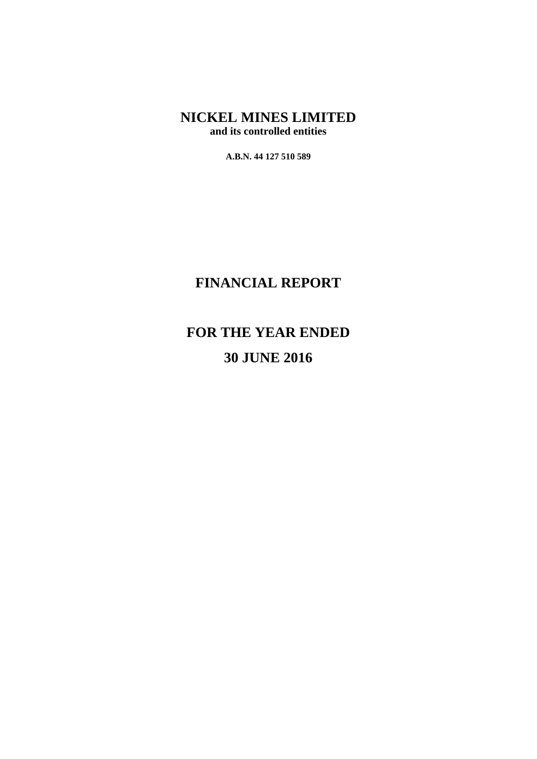**A.B.N. 44 127 510 589** 

# **FINANCIAL REPORT**

# **FOR THE YEAR ENDED 30 JUNE 2016**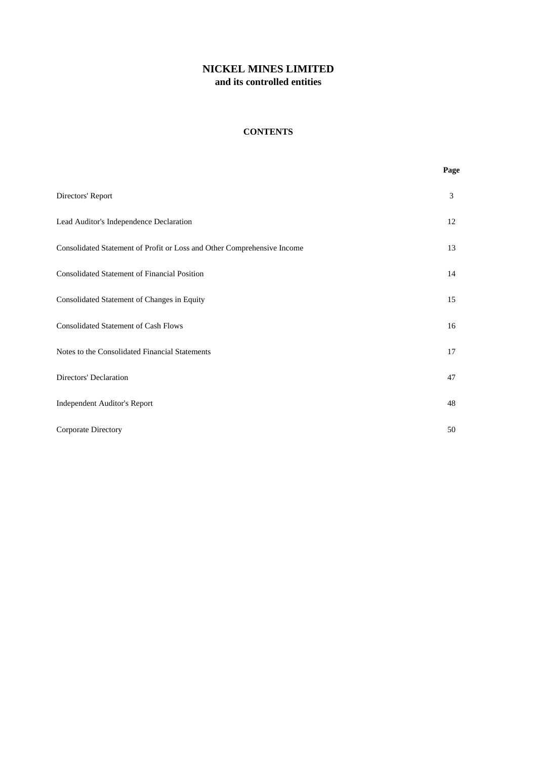### **CONTENTS**

**Page**

| Directors' Report                                                       | 3  |
|-------------------------------------------------------------------------|----|
| Lead Auditor's Independence Declaration                                 | 12 |
| Consolidated Statement of Profit or Loss and Other Comprehensive Income | 13 |
| <b>Consolidated Statement of Financial Position</b>                     | 14 |
| Consolidated Statement of Changes in Equity                             | 15 |
| <b>Consolidated Statement of Cash Flows</b>                             | 16 |
| Notes to the Consolidated Financial Statements                          | 17 |
| Directors' Declaration                                                  | 47 |
| <b>Independent Auditor's Report</b>                                     | 48 |
| Corporate Directory                                                     | 50 |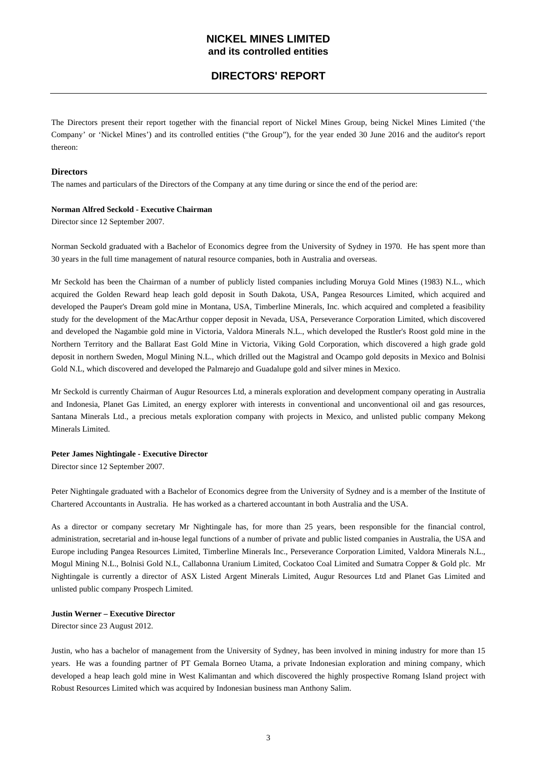# **DIRECTORS' REPORT**

The Directors present their report together with the financial report of Nickel Mines Group, being Nickel Mines Limited ('the Company' or 'Nickel Mines') and its controlled entities ("the Group"), for the year ended 30 June 2016 and the auditor's report thereon:

#### **Directors**

The names and particulars of the Directors of the Company at any time during or since the end of the period are:

#### **Norman Alfred Seckold - Executive Chairman**

Director since 12 September 2007.

Norman Seckold graduated with a Bachelor of Economics degree from the University of Sydney in 1970. He has spent more than 30 years in the full time management of natural resource companies, both in Australia and overseas.

Mr Seckold has been the Chairman of a number of publicly listed companies including Moruya Gold Mines (1983) N.L., which acquired the Golden Reward heap leach gold deposit in South Dakota, USA, Pangea Resources Limited, which acquired and developed the Pauper's Dream gold mine in Montana, USA, Timberline Minerals, Inc. which acquired and completed a feasibility study for the development of the MacArthur copper deposit in Nevada, USA, Perseverance Corporation Limited, which discovered and developed the Nagambie gold mine in Victoria, Valdora Minerals N.L., which developed the Rustler's Roost gold mine in the Northern Territory and the Ballarat East Gold Mine in Victoria, Viking Gold Corporation, which discovered a high grade gold deposit in northern Sweden, Mogul Mining N.L., which drilled out the Magistral and Ocampo gold deposits in Mexico and Bolnisi Gold N.L, which discovered and developed the Palmarejo and Guadalupe gold and silver mines in Mexico.

Mr Seckold is currently Chairman of Augur Resources Ltd, a minerals exploration and development company operating in Australia and Indonesia, Planet Gas Limited, an energy explorer with interests in conventional and unconventional oil and gas resources, Santana Minerals Ltd., a precious metals exploration company with projects in Mexico, and unlisted public company Mekong Minerals Limited.

#### **Peter James Nightingale - Executive Director**

Director since 12 September 2007.

Peter Nightingale graduated with a Bachelor of Economics degree from the University of Sydney and is a member of the Institute of Chartered Accountants in Australia. He has worked as a chartered accountant in both Australia and the USA.

As a director or company secretary Mr Nightingale has, for more than 25 years, been responsible for the financial control, administration, secretarial and in-house legal functions of a number of private and public listed companies in Australia, the USA and Europe including Pangea Resources Limited, Timberline Minerals Inc., Perseverance Corporation Limited, Valdora Minerals N.L., Mogul Mining N.L., Bolnisi Gold N.L, Callabonna Uranium Limited, Cockatoo Coal Limited and Sumatra Copper & Gold plc. Mr Nightingale is currently a director of ASX Listed Argent Minerals Limited, Augur Resources Ltd and Planet Gas Limited and unlisted public company Prospech Limited.

#### **Justin Werner – Executive Director**

Director since 23 August 2012.

Justin, who has a bachelor of management from the University of Sydney, has been involved in mining industry for more than 15 years. He was a founding partner of PT Gemala Borneo Utama, a private Indonesian exploration and mining company, which developed a heap leach gold mine in West Kalimantan and which discovered the highly prospective Romang Island project with Robust Resources Limited which was acquired by Indonesian business man Anthony Salim.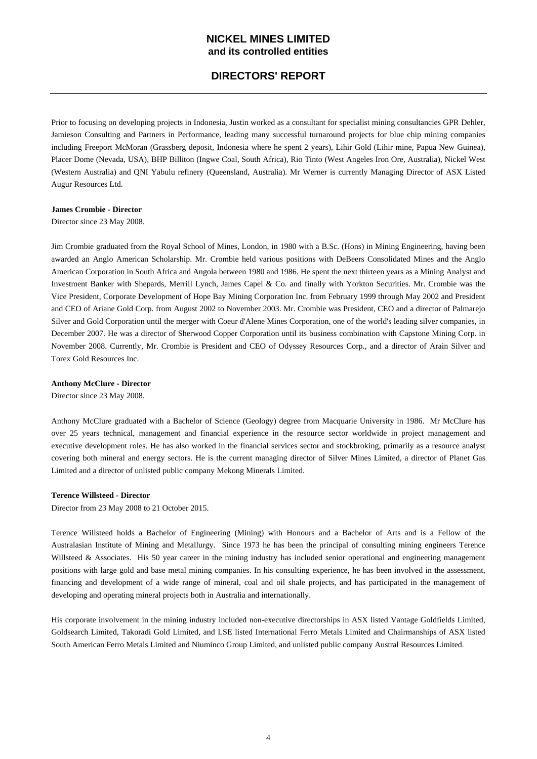# **DIRECTORS' REPORT**

Prior to focusing on developing projects in Indonesia, Justin worked as a consultant for specialist mining consultancies GPR Dehler, Jamieson Consulting and Partners in Performance, leading many successful turnaround projects for blue chip mining companies including Freeport McMoran (Grassberg deposit, Indonesia where he spent 2 years), Lihir Gold (Lihir mine, Papua New Guinea), Placer Dome (Nevada, USA), BHP Billiton (Ingwe Coal, South Africa), Rio Tinto (West Angeles Iron Ore, Australia), Nickel West (Western Australia) and QNI Yabulu refinery (Queensland, Australia). Mr Werner is currently Managing Director of ASX Listed Augur Resources Ltd.

#### **James Crombie - Director**

Director since 23 May 2008.

Jim Crombie graduated from the Royal School of Mines, London, in 1980 with a B.Sc. (Hons) in Mining Engineering, having been awarded an Anglo American Scholarship. Mr. Crombie held various positions with DeBeers Consolidated Mines and the Anglo American Corporation in South Africa and Angola between 1980 and 1986. He spent the next thirteen years as a Mining Analyst and Investment Banker with Shepards, Merrill Lynch, James Capel & Co. and finally with Yorkton Securities. Mr. Crombie was the Vice President, Corporate Development of Hope Bay Mining Corporation Inc. from February 1999 through May 2002 and President and CEO of Ariane Gold Corp. from August 2002 to November 2003. Mr. Crombie was President, CEO and a director of Palmarejo Silver and Gold Corporation until the merger with Coeur d'Alene Mines Corporation, one of the world's leading silver companies, in December 2007. He was a director of Sherwood Copper Corporation until its business combination with Capstone Mining Corp. in November 2008. Currently, Mr. Crombie is President and CEO of Odyssey Resources Corp., and a director of Arain Silver and Torex Gold Resources Inc.

#### **Anthony McClure - Director**

Director since 23 May 2008.

Anthony McClure graduated with a Bachelor of Science (Geology) degree from Macquarie University in 1986. Mr McClure has over 25 years technical, management and financial experience in the resource sector worldwide in project management and executive development roles. He has also worked in the financial services sector and stockbroking, primarily as a resource analyst covering both mineral and energy sectors. He is the current managing director of Silver Mines Limited, a director of Planet Gas Limited and a director of unlisted public company Mekong Minerals Limited.

#### **Terence Willsteed - Director**

Director from 23 May 2008 to 21 October 2015.

Terence Willsteed holds a Bachelor of Engineering (Mining) with Honours and a Bachelor of Arts and is a Fellow of the Australasian Institute of Mining and Metallurgy. Since 1973 he has been the principal of consulting mining engineers Terence Willsteed & Associates. His 50 year career in the mining industry has included senior operational and engineering management positions with large gold and base metal mining companies. In his consulting experience, he has been involved in the assessment, financing and development of a wide range of mineral, coal and oil shale projects, and has participated in the management of developing and operating mineral projects both in Australia and internationally.

His corporate involvement in the mining industry included non-executive directorships in ASX listed Vantage Goldfields Limited, Goldsearch Limited, Takoradi Gold Limited, and LSE listed International Ferro Metals Limited and Chairmanships of ASX listed South American Ferro Metals Limited and Niuminco Group Limited, and unlisted public company Austral Resources Limited.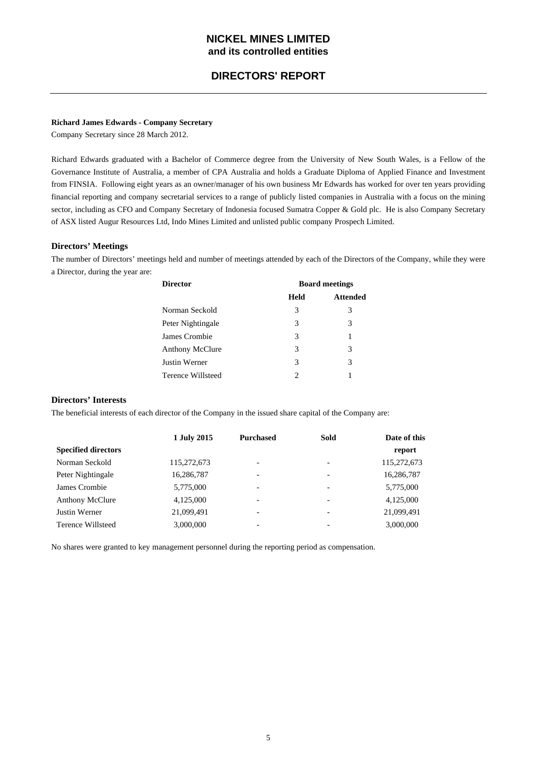# **DIRECTORS' REPORT**

#### **Richard James Edwards - Company Secretary**

Company Secretary since 28 March 2012.

Richard Edwards graduated with a Bachelor of Commerce degree from the University of New South Wales, is a Fellow of the Governance Institute of Australia, a member of CPA Australia and holds a Graduate Diploma of Applied Finance and Investment from FINSIA. Following eight years as an owner/manager of his own business Mr Edwards has worked for over ten years providing financial reporting and company secretarial services to a range of publicly listed companies in Australia with a focus on the mining sector, including as CFO and Company Secretary of Indonesia focused Sumatra Copper & Gold plc. He is also Company Secretary of ASX listed Augur Resources Ltd, Indo Mines Limited and unlisted public company Prospech Limited.

#### **Directors' Meetings**

The number of Directors' meetings held and number of meetings attended by each of the Directors of the Company, while they were a Director, during the year are:

| <b>Director</b>        | <b>Board meetings</b>       |                 |  |
|------------------------|-----------------------------|-----------------|--|
|                        | Held                        | <b>Attended</b> |  |
| Norman Seckold         | 3                           | 3               |  |
| Peter Nightingale      | 3                           | 3               |  |
| James Crombie          | 3                           | 1               |  |
| <b>Anthony McClure</b> | 3                           | 3               |  |
| Justin Werner          | 3                           | 3               |  |
| Terence Willsteed      | $\mathcal{D}_{\mathcal{A}}$ |                 |  |

#### **Directors' Interests**

The beneficial interests of each director of the Company in the issued share capital of the Company are:

|                            | 1 July 2015 | <b>Purchased</b>         | <b>Sold</b>              | Date of this |
|----------------------------|-------------|--------------------------|--------------------------|--------------|
| <b>Specified directors</b> |             |                          |                          | report       |
| Norman Seckold             | 115,272,673 | $\overline{\phantom{0}}$ | $\overline{\phantom{0}}$ | 115,272,673  |
| Peter Nightingale          | 16,286,787  |                          |                          | 16,286,787   |
| James Crombie              | 5,775,000   | $\overline{\phantom{0}}$ | -                        | 5,775,000    |
| <b>Anthony McClure</b>     | 4,125,000   |                          | $\overline{\phantom{0}}$ | 4,125,000    |
| Justin Werner              | 21,099,491  | -                        | -                        | 21,099,491   |
| Terence Willsteed          | 3,000,000   |                          | -                        | 3,000,000    |

No shares were granted to key management personnel during the reporting period as compensation.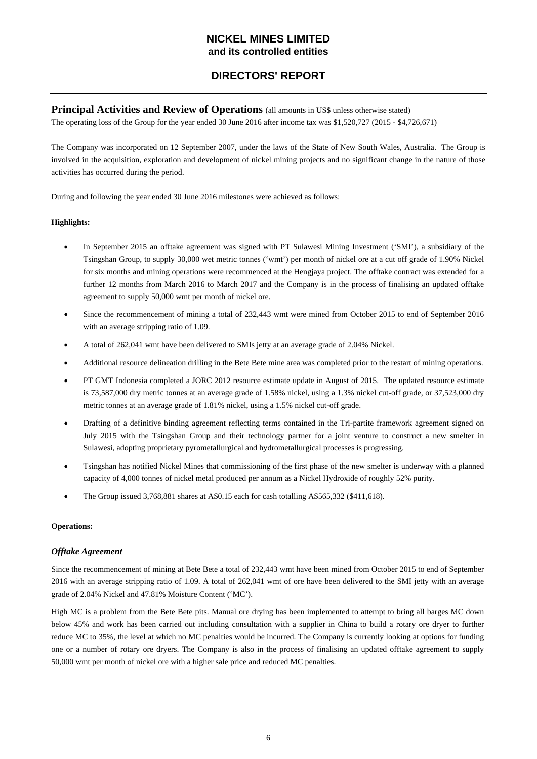# **DIRECTORS' REPORT**

### **Principal Activities and Review of Operations** (all amounts in US\$ unless otherwise stated)

The operating loss of the Group for the year ended 30 June 2016 after income tax was \$1,520,727 (2015 - \$4,726,671)

The Company was incorporated on 12 September 2007, under the laws of the State of New South Wales, Australia. The Group is involved in the acquisition, exploration and development of nickel mining projects and no significant change in the nature of those activities has occurred during the period.

During and following the year ended 30 June 2016 milestones were achieved as follows:

#### **Highlights:**

- In September 2015 an offtake agreement was signed with PT Sulawesi Mining Investment ('SMI'), a subsidiary of the Tsingshan Group, to supply 30,000 wet metric tonnes ('wmt') per month of nickel ore at a cut off grade of 1.90% Nickel for six months and mining operations were recommenced at the Hengjaya project. The offtake contract was extended for a further 12 months from March 2016 to March 2017 and the Company is in the process of finalising an updated offtake agreement to supply 50,000 wmt per month of nickel ore.
- Since the recommencement of mining a total of 232,443 wmt were mined from October 2015 to end of September 2016 with an average stripping ratio of 1.09.
- A total of 262,041 wmt have been delivered to SMIs jetty at an average grade of 2.04% Nickel.
- Additional resource delineation drilling in the Bete Bete mine area was completed prior to the restart of mining operations.
- PT GMT Indonesia completed a JORC 2012 resource estimate update in August of 2015. The updated resource estimate is 73,587,000 dry metric tonnes at an average grade of 1.58% nickel, using a 1.3% nickel cut-off grade, or 37,523,000 dry metric tonnes at an average grade of 1.81% nickel, using a 1.5% nickel cut-off grade.
- Drafting of a definitive binding agreement reflecting terms contained in the Tri-partite framework agreement signed on July 2015 with the Tsingshan Group and their technology partner for a joint venture to construct a new smelter in Sulawesi, adopting proprietary pyrometallurgical and hydrometallurgical processes is progressing.
- Tsingshan has notified Nickel Mines that commissioning of the first phase of the new smelter is underway with a planned capacity of 4,000 tonnes of nickel metal produced per annum as a Nickel Hydroxide of roughly 52% purity.
- The Group issued 3,768,881 shares at A\$0.15 each for cash totalling A\$565,332 (\$411,618).

#### **Operations:**

#### *Offtake Agreement*

Since the recommencement of mining at Bete Bete a total of 232,443 wmt have been mined from October 2015 to end of September 2016 with an average stripping ratio of 1.09. A total of 262,041 wmt of ore have been delivered to the SMI jetty with an average grade of 2.04% Nickel and 47.81% Moisture Content ('MC').

High MC is a problem from the Bete Bete pits. Manual ore drying has been implemented to attempt to bring all barges MC down below 45% and work has been carried out including consultation with a supplier in China to build a rotary ore dryer to further reduce MC to 35%, the level at which no MC penalties would be incurred. The Company is currently looking at options for funding one or a number of rotary ore dryers. The Company is also in the process of finalising an updated offtake agreement to supply 50,000 wmt per month of nickel ore with a higher sale price and reduced MC penalties.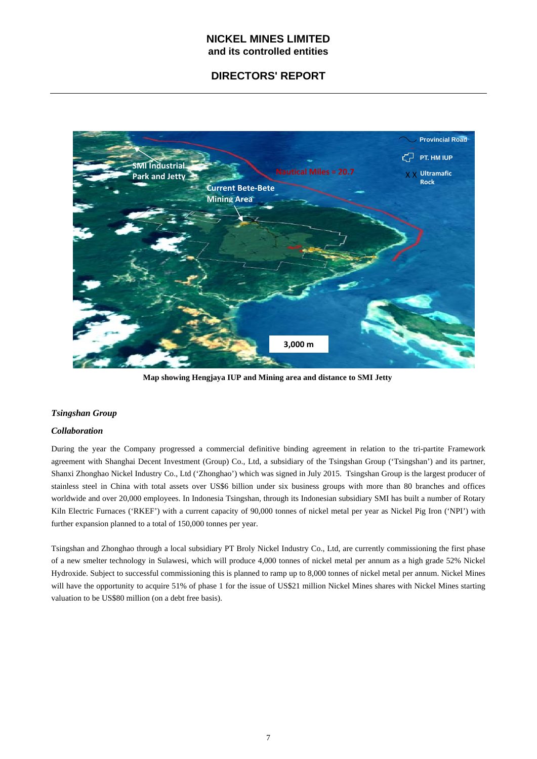# **DIRECTORS' REPORT**



**Map showing Hengjaya IUP and Mining area and distance to SMI Jetty** 

#### *Tsingshan Group*

#### *Collaboration*

During the year the Company progressed a commercial definitive binding agreement in relation to the tri-partite Framework agreement with Shanghai Decent Investment (Group) Co., Ltd, a subsidiary of the Tsingshan Group ('Tsingshan') and its partner, Shanxi Zhonghao Nickel Industry Co., Ltd ('Zhonghao') which was signed in July 2015. Tsingshan Group is the largest producer of stainless steel in China with total assets over US\$6 billion under six business groups with more than 80 branches and offices worldwide and over 20,000 employees. In Indonesia Tsingshan, through its Indonesian subsidiary SMI has built a number of Rotary Kiln Electric Furnaces ('RKEF') with a current capacity of 90,000 tonnes of nickel metal per year as Nickel Pig Iron ('NPI') with further expansion planned to a total of 150,000 tonnes per year.

Tsingshan and Zhonghao through a local subsidiary PT Broly Nickel Industry Co., Ltd, are currently commissioning the first phase of a new smelter technology in Sulawesi, which will produce 4,000 tonnes of nickel metal per annum as a high grade 52% Nickel Hydroxide. Subject to successful commissioning this is planned to ramp up to 8,000 tonnes of nickel metal per annum. Nickel Mines will have the opportunity to acquire 51% of phase 1 for the issue of US\$21 million Nickel Mines shares with Nickel Mines starting valuation to be US\$80 million (on a debt free basis).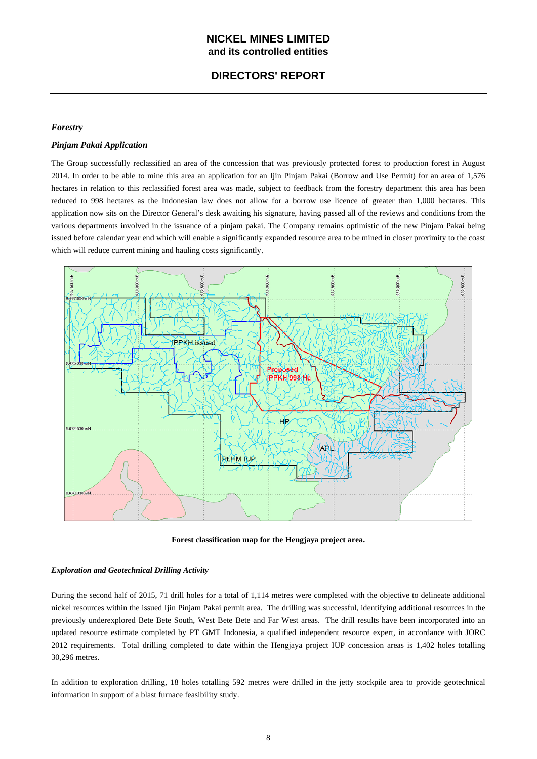# **DIRECTORS' REPORT**

#### *Forestry*

#### *Pinjam Pakai Application*

The Group successfully reclassified an area of the concession that was previously protected forest to production forest in August 2014. In order to be able to mine this area an application for an Ijin Pinjam Pakai (Borrow and Use Permit) for an area of 1,576 hectares in relation to this reclassified forest area was made, subject to feedback from the forestry department this area has been reduced to 998 hectares as the Indonesian law does not allow for a borrow use licence of greater than 1,000 hectares. This application now sits on the Director General's desk awaiting his signature, having passed all of the reviews and conditions from the various departments involved in the issuance of a pinjam pakai. The Company remains optimistic of the new Pinjam Pakai being issued before calendar year end which will enable a significantly expanded resource area to be mined in closer proximity to the coast which will reduce current mining and hauling costs significantly.



**Forest classification map for the Hengjaya project area.** 

#### *Exploration and Geotechnical Drilling Activity*

During the second half of 2015, 71 drill holes for a total of 1,114 metres were completed with the objective to delineate additional nickel resources within the issued Ijin Pinjam Pakai permit area. The drilling was successful, identifying additional resources in the previously underexplored Bete Bete South, West Bete Bete and Far West areas. The drill results have been incorporated into an updated resource estimate completed by PT GMT Indonesia, a qualified independent resource expert, in accordance with JORC 2012 requirements. Total drilling completed to date within the Hengjaya project IUP concession areas is 1,402 holes totalling 30,296 metres.

In addition to exploration drilling, 18 holes totalling 592 metres were drilled in the jetty stockpile area to provide geotechnical information in support of a blast furnace feasibility study.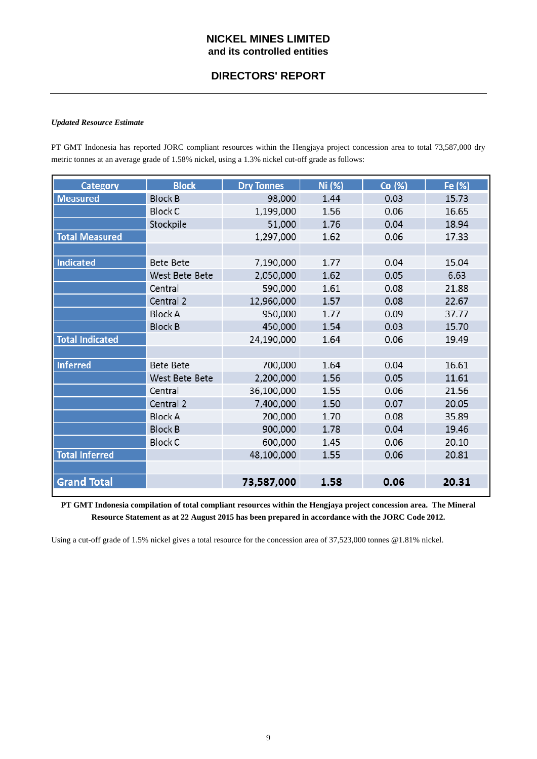# **DIRECTORS' REPORT**

#### *Updated Resource Estimate*

PT GMT Indonesia has reported JORC compliant resources within the Hengjaya project concession area to total 73,587,000 dry metric tonnes at an average grade of 1.58% nickel, using a 1.3% nickel cut-off grade as follows:

| <b>Category</b>        | <b>Block</b>     | <b>Dry Tonnes</b> | Ni (%) | Co(%) | Fe (%) |
|------------------------|------------------|-------------------|--------|-------|--------|
| <b>Measured</b>        | <b>Block B</b>   | 98,000            | 1.44   | 0.03  | 15.73  |
|                        | <b>Block C</b>   | 1,199,000         | 1.56   | 0.06  | 16.65  |
|                        | Stockpile        | 51,000            | 1.76   | 0.04  | 18.94  |
| <b>Total Measured</b>  |                  | 1,297,000         | 1.62   | 0.06  | 17.33  |
|                        |                  |                   |        |       |        |
| <b>Indicated</b>       | <b>Bete Bete</b> | 7,190,000         | 1.77   | 0.04  | 15.04  |
|                        | West Bete Bete   | 2,050,000         | 1.62   | 0.05  | 6.63   |
|                        | Central          | 590,000           | 1.61   | 0.08  | 21.88  |
|                        | Central 2        | 12,960,000        | 1.57   | 0.08  | 22.67  |
|                        | <b>Block A</b>   | 950,000           | 1.77   | 0.09  | 37.77  |
|                        | <b>Block B</b>   | 450,000           | 1.54   | 0.03  | 15.70  |
| <b>Total Indicated</b> |                  | 24,190,000        | 1.64   | 0.06  | 19.49  |
|                        |                  |                   |        |       |        |
| <b>Inferred</b>        | <b>Bete Bete</b> | 700,000           | 1.64   | 0.04  | 16.61  |
|                        | West Bete Bete   | 2,200,000         | 1.56   | 0.05  | 11.61  |
|                        | Central          | 36,100,000        | 1.55   | 0.06  | 21.56  |
|                        | Central 2        | 7,400,000         | 1.50   | 0.07  | 20.05  |
|                        | <b>Block A</b>   | 200,000           | 1.70   | 0.08  | 35.89  |
|                        | <b>Block B</b>   | 900,000           | 1.78   | 0.04  | 19.46  |
|                        | Block C          | 600,000           | 1.45   | 0.06  | 20.10  |
| <b>Total Inferred</b>  |                  | 48,100,000        | 1.55   | 0.06  | 20.81  |
|                        |                  |                   |        |       |        |
| <b>Grand Total</b>     |                  | 73,587,000        | 1.58   | 0.06  | 20.31  |

**PT GMT Indonesia compilation of total compliant resources within the Hengjaya project concession area. The Mineral Resource Statement as at 22 August 2015 has been prepared in accordance with the JORC Code 2012.**

Using a cut-off grade of 1.5% nickel gives a total resource for the concession area of 37,523,000 tonnes @1.81% nickel.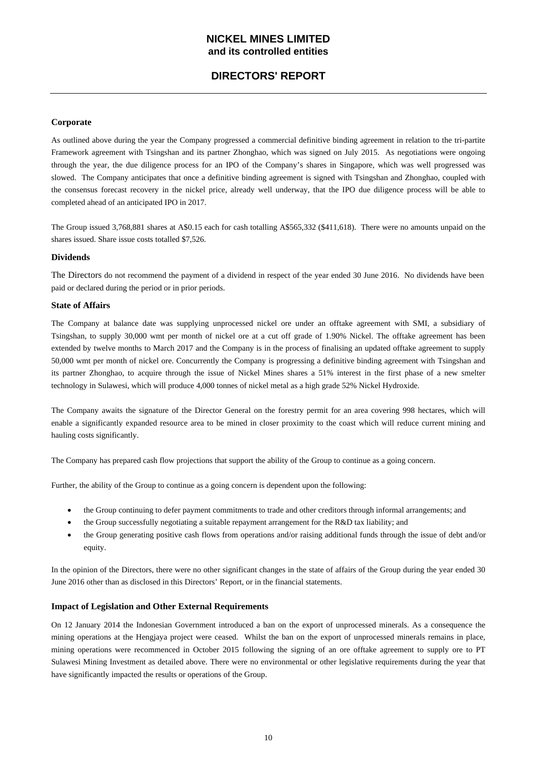# **DIRECTORS' REPORT**

#### **Corporate**

As outlined above during the year the Company progressed a commercial definitive binding agreement in relation to the tri-partite Framework agreement with Tsingshan and its partner Zhonghao, which was signed on July 2015. As negotiations were ongoing through the year, the due diligence process for an IPO of the Company's shares in Singapore, which was well progressed was slowed. The Company anticipates that once a definitive binding agreement is signed with Tsingshan and Zhonghao, coupled with the consensus forecast recovery in the nickel price, already well underway, that the IPO due diligence process will be able to completed ahead of an anticipated IPO in 2017.

The Group issued 3,768,881 shares at A\$0.15 each for cash totalling A\$565,332 (\$411,618). There were no amounts unpaid on the shares issued. Share issue costs totalled \$7,526.

#### **Dividends**

The Directors do not recommend the payment of a dividend in respect of the year ended 30 June 2016. No dividends have been paid or declared during the period or in prior periods.

#### **State of Affairs**

The Company at balance date was supplying unprocessed nickel ore under an offtake agreement with SMI, a subsidiary of Tsingshan, to supply 30,000 wmt per month of nickel ore at a cut off grade of 1.90% Nickel. The offtake agreement has been extended by twelve months to March 2017 and the Company is in the process of finalising an updated offtake agreement to supply 50,000 wmt per month of nickel ore. Concurrently the Company is progressing a definitive binding agreement with Tsingshan and its partner Zhonghao, to acquire through the issue of Nickel Mines shares a 51% interest in the first phase of a new smelter technology in Sulawesi, which will produce 4,000 tonnes of nickel metal as a high grade 52% Nickel Hydroxide.

The Company awaits the signature of the Director General on the forestry permit for an area covering 998 hectares, which will enable a significantly expanded resource area to be mined in closer proximity to the coast which will reduce current mining and hauling costs significantly.

The Company has prepared cash flow projections that support the ability of the Group to continue as a going concern.

Further, the ability of the Group to continue as a going concern is dependent upon the following:

- the Group continuing to defer payment commitments to trade and other creditors through informal arrangements; and
- the Group successfully negotiating a suitable repayment arrangement for the R&D tax liability; and
- the Group generating positive cash flows from operations and/or raising additional funds through the issue of debt and/or equity.

In the opinion of the Directors, there were no other significant changes in the state of affairs of the Group during the year ended 30 June 2016 other than as disclosed in this Directors' Report, or in the financial statements.

#### **Impact of Legislation and Other External Requirements**

On 12 January 2014 the Indonesian Government introduced a ban on the export of unprocessed minerals. As a consequence the mining operations at the Hengjaya project were ceased. Whilst the ban on the export of unprocessed minerals remains in place, mining operations were recommenced in October 2015 following the signing of an ore offtake agreement to supply ore to PT Sulawesi Mining Investment as detailed above. There were no environmental or other legislative requirements during the year that have significantly impacted the results or operations of the Group.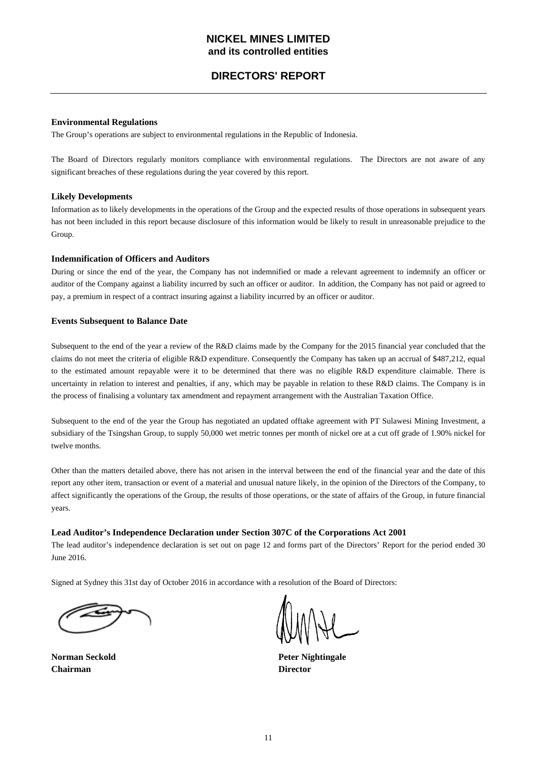# **DIRECTORS' REPORT**

#### **Environmental Regulations**

The Group's operations are subject to environmental regulations in the Republic of Indonesia.

The Board of Directors regularly monitors compliance with environmental regulations. The Directors are not aware of any significant breaches of these regulations during the year covered by this report.

#### **Likely Developments**

Information as to likely developments in the operations of the Group and the expected results of those operations in subsequent years has not been included in this report because disclosure of this information would be likely to result in unreasonable prejudice to the Group.

#### **Indemnification of Officers and Auditors**

During or since the end of the year, the Company has not indemnified or made a relevant agreement to indemnify an officer or auditor of the Company against a liability incurred by such an officer or auditor. In addition, the Company has not paid or agreed to pay, a premium in respect of a contract insuring against a liability incurred by an officer or auditor.

#### **Events Subsequent to Balance Date**

Subsequent to the end of the year a review of the R&D claims made by the Company for the 2015 financial year concluded that the claims do not meet the criteria of eligible R&D expenditure. Consequently the Company has taken up an accrual of \$487,212, equal to the estimated amount repayable were it to be determined that there was no eligible R&D expenditure claimable. There is uncertainty in relation to interest and penalties, if any, which may be payable in relation to these R&D claims. The Company is in the process of finalising a voluntary tax amendment and repayment arrangement with the Australian Taxation Office.

Subsequent to the end of the year the Group has negotiated an updated offtake agreement with PT Sulawesi Mining Investment, a subsidiary of the Tsingshan Group, to supply 50,000 wet metric tonnes per month of nickel ore at a cut off grade of 1.90% nickel for twelve months.

Other than the matters detailed above, there has not arisen in the interval between the end of the financial year and the date of this report any other item, transaction or event of a material and unusual nature likely, in the opinion of the Directors of the Company, to affect significantly the operations of the Group, the results of those operations, or the state of affairs of the Group, in future financial years.

#### **Lead Auditor's Independence Declaration under Section 307C of the Corporations Act 2001**

The lead auditor's independence declaration is set out on page 12 and forms part of the Directors' Report for the period ended 30 June 2016.

Signed at Sydney this 31st day of October 2016 in accordance with a resolution of the Board of Directors:

**Chairman** Director

**Norman Seckold Peter Nightingale**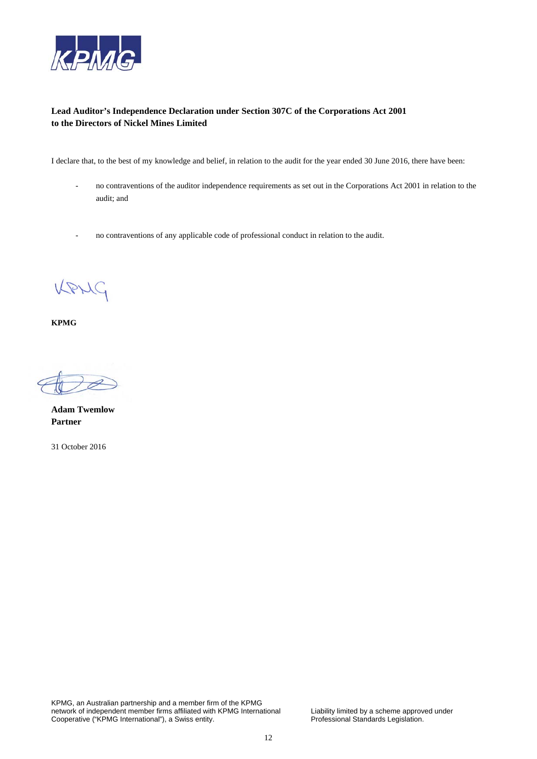

### **Lead Auditor's Independence Declaration under Section 307C of the Corporations Act 2001 to the Directors of Nickel Mines Limited**

I declare that, to the best of my knowledge and belief, in relation to the audit for the year ended 30 June 2016, there have been:

- no contraventions of the auditor independence requirements as set out in the Corporations Act 2001 in relation to the audit; and
- no contraventions of any applicable code of professional conduct in relation to the audit.

WAN

**KPMG** 

**Adam Twemlow Partner** 

31 October 2016

KPMG, an Australian partnership and a member firm of the KPMG network of independent member firms affiliated with KPMG International Liability limited by a scheme approved under<br>Cooperative ("KPMG International"), a Swiss entity.<br>Professional Standards Legislation. Cooperative ("KPMG International"), a Swiss entity.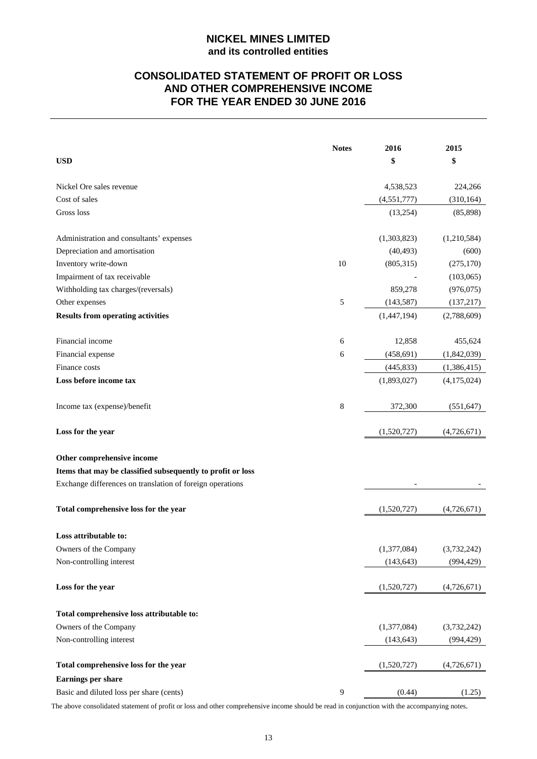# **CONSOLIDATED STATEMENT OF PROFIT OR LOSS AND OTHER COMPREHENSIVE INCOME FOR THE YEAR ENDED 30 JUNE 2016**

|                                                             | <b>Notes</b> | 2016        | 2015        |
|-------------------------------------------------------------|--------------|-------------|-------------|
| <b>USD</b>                                                  |              | \$          | \$          |
|                                                             |              |             |             |
| Nickel Ore sales revenue                                    |              | 4,538,523   | 224,266     |
| Cost of sales                                               |              | (4,551,777) | (310, 164)  |
| Gross loss                                                  |              | (13,254)    | (85,898)    |
|                                                             |              |             |             |
| Administration and consultants' expenses                    |              | (1,303,823) | (1,210,584) |
| Depreciation and amortisation                               |              | (40, 493)   | (600)       |
| Inventory write-down                                        | 10           | (805,315)   | (275, 170)  |
| Impairment of tax receivable                                |              |             | (103,065)   |
| Withholding tax charges/(reversals)                         |              | 859,278     | (976, 075)  |
| Other expenses                                              | 5            | (143, 587)  | (137, 217)  |
| <b>Results from operating activities</b>                    |              | (1,447,194) | (2,788,609) |
|                                                             |              |             |             |
| Financial income                                            | 6            | 12,858      | 455,624     |
| Financial expense                                           | 6            | (458, 691)  | (1,842,039) |
| Finance costs                                               |              | (445, 833)  | (1,386,415) |
| Loss before income tax                                      |              | (1,893,027) | (4,175,024) |
| Income tax (expense)/benefit                                | 8            | 372,300     | (551, 647)  |
|                                                             |              |             |             |
| Loss for the year                                           |              | (1,520,727) | (4,726,671) |
|                                                             |              |             |             |
| Other comprehensive income                                  |              |             |             |
| Items that may be classified subsequently to profit or loss |              |             |             |
| Exchange differences on translation of foreign operations   |              |             |             |
|                                                             |              |             |             |
| Total comprehensive loss for the year                       |              | (1,520,727) | (4,726,671) |
|                                                             |              |             |             |
| Loss attributable to:                                       |              |             |             |
| Owners of the Company                                       |              | (1,377,084) | (3,732,242) |
| Non-controlling interest                                    |              | (143, 643)  | (994, 429)  |
|                                                             |              |             |             |
| Loss for the year                                           |              | (1,520,727) | (4,726,671) |
|                                                             |              |             |             |
| Total comprehensive loss attributable to:                   |              |             |             |
| Owners of the Company                                       |              | (1,377,084) | (3,732,242) |
| Non-controlling interest                                    |              | (143, 643)  | (994, 429)  |
| Total comprehensive loss for the year                       |              | (1,520,727) | (4,726,671) |
| Earnings per share                                          |              |             |             |
| Basic and diluted loss per share (cents)                    | 9            | (0.44)      | (1.25)      |
|                                                             |              |             |             |

The above consolidated statement of profit or loss and other comprehensive income should be read in conjunction with the accompanying notes.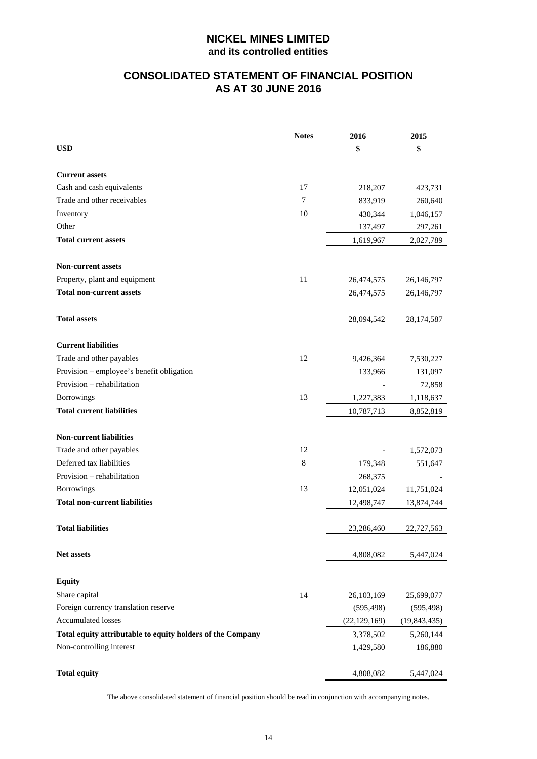# **CONSOLIDATED STATEMENT OF FINANCIAL POSITION AS AT 30 JUNE 2016**

|                                                            | <b>Notes</b> | 2016           | 2015           |
|------------------------------------------------------------|--------------|----------------|----------------|
| <b>USD</b>                                                 |              | \$             | \$             |
| <b>Current assets</b>                                      |              |                |                |
| Cash and cash equivalents                                  | 17           | 218,207        | 423,731        |
| Trade and other receivables                                | 7            | 833,919        | 260,640        |
| Inventory                                                  | 10           | 430,344        | 1,046,157      |
| Other                                                      |              | 137,497        | 297,261        |
| <b>Total current assets</b>                                |              | 1,619,967      | 2,027,789      |
|                                                            |              |                |                |
| <b>Non-current assets</b>                                  |              |                |                |
| Property, plant and equipment                              | 11           | 26,474,575     | 26, 146, 797   |
| <b>Total non-current assets</b>                            |              | 26,474,575     | 26, 146, 797   |
|                                                            |              |                |                |
| <b>Total assets</b>                                        |              | 28,094,542     | 28, 174, 587   |
|                                                            |              |                |                |
| <b>Current liabilities</b>                                 |              |                |                |
| Trade and other payables                                   | 12           | 9,426,364      | 7,530,227      |
| Provision - employee's benefit obligation                  |              | 133,966        | 131,097        |
| Provision - rehabilitation                                 |              |                | 72,858         |
| <b>Borrowings</b>                                          | 13           | 1,227,383      | 1,118,637      |
| <b>Total current liabilities</b>                           |              | 10,787,713     | 8,852,819      |
|                                                            |              |                |                |
| <b>Non-current liabilities</b>                             |              |                |                |
| Trade and other payables                                   | 12           |                | 1,572,073      |
| Deferred tax liabilities                                   | 8            | 179,348        | 551,647        |
| Provision – rehabilitation                                 |              | 268,375        |                |
| <b>Borrowings</b>                                          | 13           | 12,051,024     | 11,751,024     |
| <b>Total non-current liabilities</b>                       |              | 12,498,747     | 13,874,744     |
|                                                            |              |                |                |
| <b>Total liabilities</b>                                   |              | 23,286,460     | 22,727,563     |
|                                                            |              |                |                |
| Net assets                                                 |              | 4,808,082      | 5,447,024      |
| <b>Equity</b>                                              |              |                |                |
| Share capital                                              | 14           | 26,103,169     | 25,699,077     |
| Foreign currency translation reserve                       |              | (595, 498)     | (595, 498)     |
| <b>Accumulated losses</b>                                  |              | (22, 129, 169) | (19, 843, 435) |
| Total equity attributable to equity holders of the Company |              | 3,378,502      | 5,260,144      |
| Non-controlling interest                                   |              | 1,429,580      | 186,880        |
|                                                            |              |                |                |
| <b>Total equity</b>                                        |              | 4,808,082      | 5,447,024      |

The above consolidated statement of financial position should be read in conjunction with accompanying notes.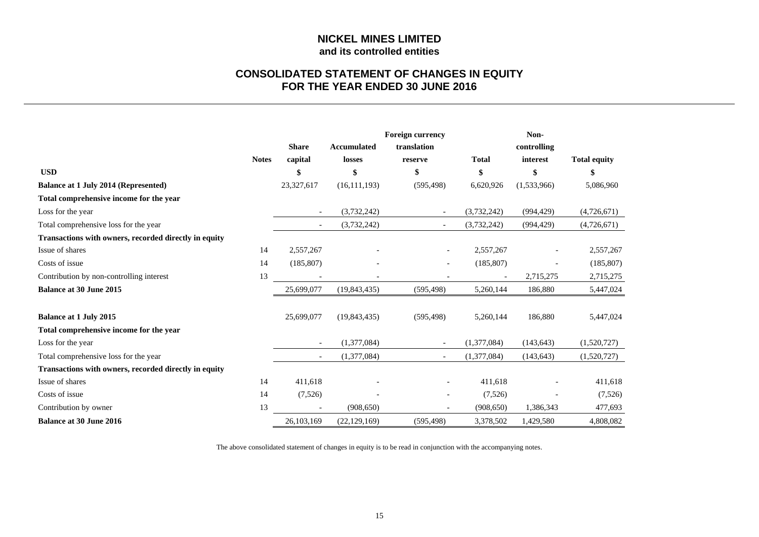# **CONSOLIDATED STATEMENT OF CHANGES IN EQUITY FOR THE YEAR ENDED 30 JUNE 2016**

|                                                       |              |                          |                | <b>Foreign currency</b>  |               | Non-        |                     |
|-------------------------------------------------------|--------------|--------------------------|----------------|--------------------------|---------------|-------------|---------------------|
|                                                       |              | <b>Share</b>             | Accumulated    | translation              |               | controlling |                     |
|                                                       | <b>Notes</b> | capital                  | losses         | reserve                  | <b>Total</b>  | interest    | <b>Total equity</b> |
| <b>USD</b>                                            |              | S                        | \$             | \$                       | \$            | \$          | \$                  |
| <b>Balance at 1 July 2014 (Represented)</b>           |              | 23,327,617               | (16, 111, 193) | (595, 498)               | 6,620,926     | (1,533,966) | 5,086,960           |
| Total comprehensive income for the year               |              |                          |                |                          |               |             |                     |
| Loss for the year                                     |              |                          | (3, 732, 242)  |                          | (3, 732, 242) | (994, 429)  | (4,726,671)         |
| Total comprehensive loss for the year                 |              | $\overline{\phantom{a}}$ | (3,732,242)    | $\overline{\phantom{a}}$ | (3,732,242)   | (994, 429)  | (4,726,671)         |
| Transactions with owners, recorded directly in equity |              |                          |                |                          |               |             |                     |
| Issue of shares                                       | 14           | 2,557,267                |                |                          | 2,557,267     |             | 2,557,267           |
| Costs of issue                                        | 14           | (185, 807)               |                |                          | (185, 807)    |             | (185, 807)          |
| Contribution by non-controlling interest              | 13           |                          |                |                          |               | 2,715,275   | 2,715,275           |
| <b>Balance at 30 June 2015</b>                        |              | 25,699,077               | (19, 843, 435) | (595, 498)               | 5,260,144     | 186,880     | 5,447,024           |
| <b>Balance at 1 July 2015</b>                         |              | 25,699,077               | (19, 843, 435) | (595, 498)               | 5,260,144     | 186,880     | 5,447,024           |
| Total comprehensive income for the year               |              |                          |                |                          |               |             |                     |
| Loss for the year                                     |              |                          | (1,377,084)    |                          | (1,377,084)   | (143, 643)  | (1,520,727)         |
| Total comprehensive loss for the year                 |              | $-$                      | (1,377,084)    |                          | (1,377,084)   | (143, 643)  | (1,520,727)         |
| Transactions with owners, recorded directly in equity |              |                          |                |                          |               |             |                     |
| Issue of shares                                       | 14           | 411,618                  |                |                          | 411,618       |             | 411,618             |
| Costs of issue                                        | 14           | (7,526)                  |                |                          | (7,526)       |             | (7,526)             |
| Contribution by owner                                 | 13           |                          | (908, 650)     |                          | (908, 650)    | 1,386,343   | 477,693             |
| <b>Balance at 30 June 2016</b>                        |              | 26,103,169               | (22, 129, 169) | (595, 498)               | 3,378,502     | 1,429,580   | 4,808,082           |

The above consolidated statement of changes in equity is to be read in conjunction with the accompanying notes.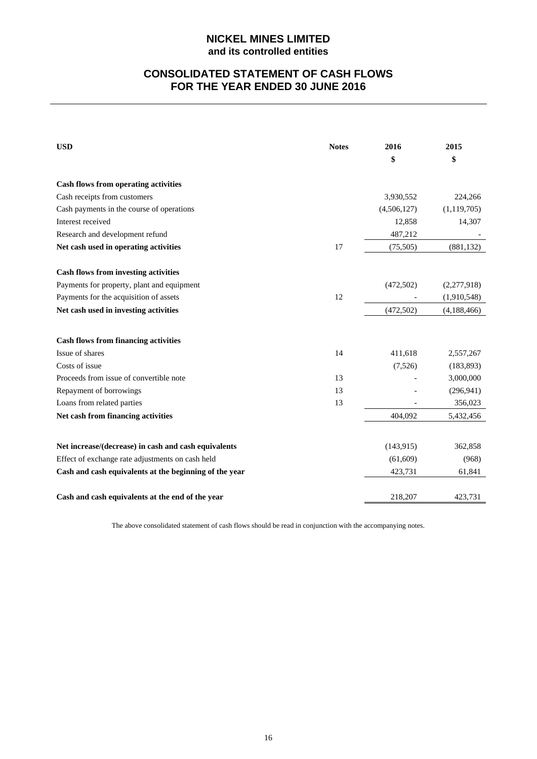# **CONSOLIDATED STATEMENT OF CASH FLOWS FOR THE YEAR ENDED 30 JUNE 2016**

| <b>USD</b>                                             | <b>Notes</b> | 2016        | 2015        |
|--------------------------------------------------------|--------------|-------------|-------------|
|                                                        |              | \$          | \$          |
| <b>Cash flows from operating activities</b>            |              |             |             |
| Cash receipts from customers                           |              | 3,930,552   | 224,266     |
| Cash payments in the course of operations              |              | (4,506,127) | (1,119,705) |
| Interest received                                      |              | 12,858      | 14,307      |
| Research and development refund                        |              | 487,212     |             |
| Net cash used in operating activities                  | 17           | (75,505)    | (881, 132)  |
| <b>Cash flows from investing activities</b>            |              |             |             |
| Payments for property, plant and equipment             |              | (472, 502)  | (2,277,918) |
| Payments for the acquisition of assets                 | 12           |             | (1,910,548) |
| Net cash used in investing activities                  |              | (472, 502)  | (4,188,466) |
| <b>Cash flows from financing activities</b>            |              |             |             |
| Issue of shares                                        | 14           | 411,618     | 2,557,267   |
| Costs of issue                                         |              | (7,526)     | (183, 893)  |
| Proceeds from issue of convertible note                | 13           |             | 3,000,000   |
| Repayment of borrowings                                | 13           |             | (296, 941)  |
| Loans from related parties                             | 13           |             | 356,023     |
| Net cash from financing activities                     |              | 404,092     | 5,432,456   |
|                                                        |              |             |             |
| Net increase/(decrease) in cash and cash equivalents   |              | (143, 915)  | 362,858     |
| Effect of exchange rate adjustments on cash held       |              | (61, 609)   | (968)       |
| Cash and cash equivalents at the beginning of the year |              | 423,731     | 61,841      |
| Cash and cash equivalents at the end of the year       |              | 218,207     | 423,731     |

The above consolidated statement of cash flows should be read in conjunction with the accompanying notes.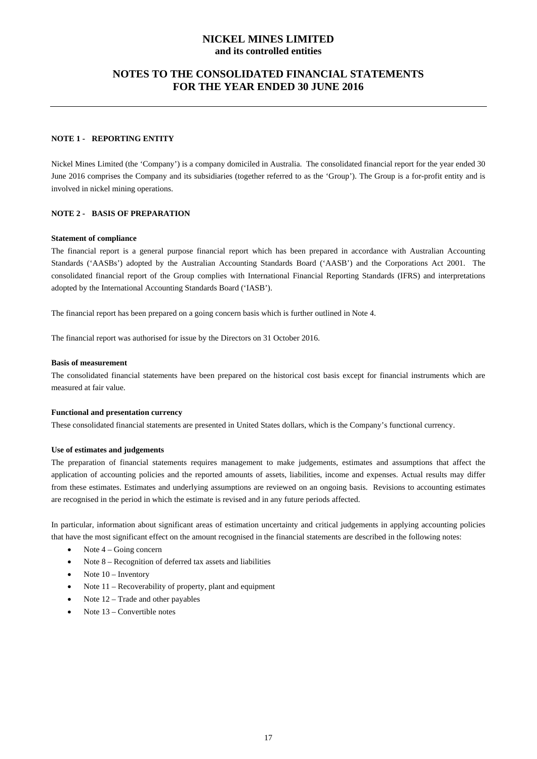# **NOTES TO THE CONSOLIDATED FINANCIAL STATEMENTS FOR THE YEAR ENDED 30 JUNE 2016**

#### **NOTE 1 - REPORTING ENTITY**

Nickel Mines Limited (the 'Company') is a company domiciled in Australia. The consolidated financial report for the year ended 30 June 2016 comprises the Company and its subsidiaries (together referred to as the 'Group'). The Group is a for-profit entity and is involved in nickel mining operations.

### **NOTE 2 - BASIS OF PREPARATION**

#### **Statement of compliance**

The financial report is a general purpose financial report which has been prepared in accordance with Australian Accounting Standards ('AASBs') adopted by the Australian Accounting Standards Board ('AASB') and the Corporations Act 2001. The consolidated financial report of the Group complies with International Financial Reporting Standards (IFRS) and interpretations adopted by the International Accounting Standards Board ('IASB').

The financial report has been prepared on a going concern basis which is further outlined in Note 4.

The financial report was authorised for issue by the Directors on 31 October 2016.

#### **Basis of measurement**

The consolidated financial statements have been prepared on the historical cost basis except for financial instruments which are measured at fair value.

#### **Functional and presentation currency**

These consolidated financial statements are presented in United States dollars, which is the Company's functional currency.

#### **Use of estimates and judgements**

The preparation of financial statements requires management to make judgements, estimates and assumptions that affect the application of accounting policies and the reported amounts of assets, liabilities, income and expenses. Actual results may differ from these estimates. Estimates and underlying assumptions are reviewed on an ongoing basis. Revisions to accounting estimates are recognised in the period in which the estimate is revised and in any future periods affected.

In particular, information about significant areas of estimation uncertainty and critical judgements in applying accounting policies that have the most significant effect on the amount recognised in the financial statements are described in the following notes:

- Note  $4 -$  Going concern
- Note 8 Recognition of deferred tax assets and liabilities
- Note  $10$  Inventory
- Note 11 Recoverability of property, plant and equipment
- Note 12 Trade and other payables
- Note 13 Convertible notes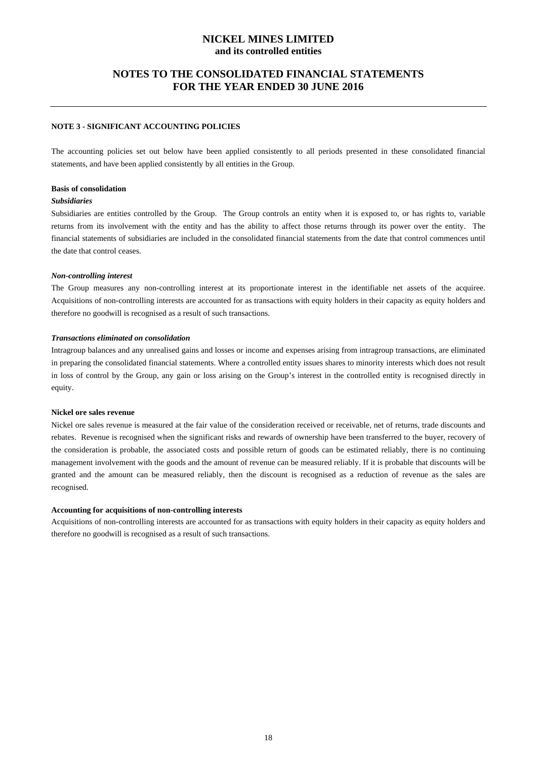# **NOTES TO THE CONSOLIDATED FINANCIAL STATEMENTS FOR THE YEAR ENDED 30 JUNE 2016**

#### **NOTE 3 - SIGNIFICANT ACCOUNTING POLICIES**

The accounting policies set out below have been applied consistently to all periods presented in these consolidated financial statements, and have been applied consistently by all entities in the Group.

#### **Basis of consolidation**

#### *Subsidiaries*

Subsidiaries are entities controlled by the Group. The Group controls an entity when it is exposed to, or has rights to, variable returns from its involvement with the entity and has the ability to affect those returns through its power over the entity. The financial statements of subsidiaries are included in the consolidated financial statements from the date that control commences until the date that control ceases.

#### *Non-controlling interest*

The Group measures any non-controlling interest at its proportionate interest in the identifiable net assets of the acquiree. Acquisitions of non-controlling interests are accounted for as transactions with equity holders in their capacity as equity holders and therefore no goodwill is recognised as a result of such transactions.

#### *Transactions eliminated on consolidation*

Intragroup balances and any unrealised gains and losses or income and expenses arising from intragroup transactions, are eliminated in preparing the consolidated financial statements. Where a controlled entity issues shares to minority interests which does not result in loss of control by the Group, any gain or loss arising on the Group's interest in the controlled entity is recognised directly in equity.

#### **Nickel ore sales revenue**

Nickel ore sales revenue is measured at the fair value of the consideration received or receivable, net of returns, trade discounts and rebates. Revenue is recognised when the significant risks and rewards of ownership have been transferred to the buyer, recovery of the consideration is probable, the associated costs and possible return of goods can be estimated reliably, there is no continuing management involvement with the goods and the amount of revenue can be measured reliably. If it is probable that discounts will be granted and the amount can be measured reliably, then the discount is recognised as a reduction of revenue as the sales are recognised.

#### **Accounting for acquisitions of non-controlling interests**

Acquisitions of non-controlling interests are accounted for as transactions with equity holders in their capacity as equity holders and therefore no goodwill is recognised as a result of such transactions.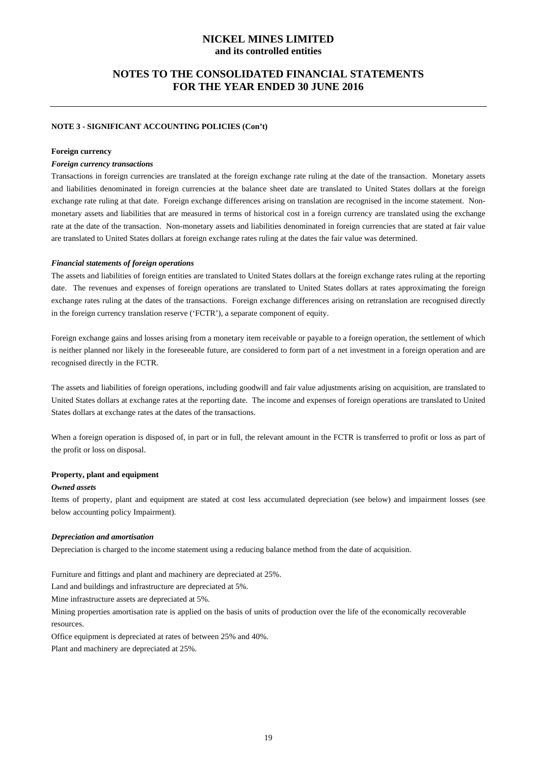# **NOTES TO THE CONSOLIDATED FINANCIAL STATEMENTS FOR THE YEAR ENDED 30 JUNE 2016**

#### **NOTE 3 - SIGNIFICANT ACCOUNTING POLICIES (Con't)**

#### **Foreign currency**

#### *Foreign currency transactions*

Transactions in foreign currencies are translated at the foreign exchange rate ruling at the date of the transaction. Monetary assets and liabilities denominated in foreign currencies at the balance sheet date are translated to United States dollars at the foreign exchange rate ruling at that date. Foreign exchange differences arising on translation are recognised in the income statement. Nonmonetary assets and liabilities that are measured in terms of historical cost in a foreign currency are translated using the exchange rate at the date of the transaction. Non-monetary assets and liabilities denominated in foreign currencies that are stated at fair value are translated to United States dollars at foreign exchange rates ruling at the dates the fair value was determined.

#### *Financial statements of foreign operations*

The assets and liabilities of foreign entities are translated to United States dollars at the foreign exchange rates ruling at the reporting date. The revenues and expenses of foreign operations are translated to United States dollars at rates approximating the foreign exchange rates ruling at the dates of the transactions. Foreign exchange differences arising on retranslation are recognised directly in the foreign currency translation reserve ('FCTR'), a separate component of equity.

Foreign exchange gains and losses arising from a monetary item receivable or payable to a foreign operation, the settlement of which is neither planned nor likely in the foreseeable future, are considered to form part of a net investment in a foreign operation and are recognised directly in the FCTR.

The assets and liabilities of foreign operations, including goodwill and fair value adjustments arising on acquisition, are translated to United States dollars at exchange rates at the reporting date. The income and expenses of foreign operations are translated to United States dollars at exchange rates at the dates of the transactions.

When a foreign operation is disposed of, in part or in full, the relevant amount in the FCTR is transferred to profit or loss as part of the profit or loss on disposal.

#### **Property, plant and equipment**

#### *Owned assets*

Items of property, plant and equipment are stated at cost less accumulated depreciation (see below) and impairment losses (see below accounting policy Impairment).

#### *Depreciation and amortisation*

Depreciation is charged to the income statement using a reducing balance method from the date of acquisition.

Furniture and fittings and plant and machinery are depreciated at 25%.

Land and buildings and infrastructure are depreciated at 5%.

Mine infrastructure assets are depreciated at 5%.

Mining properties amortisation rate is applied on the basis of units of production over the life of the economically recoverable resources.

Office equipment is depreciated at rates of between 25% and 40%.

Plant and machinery are depreciated at 25%.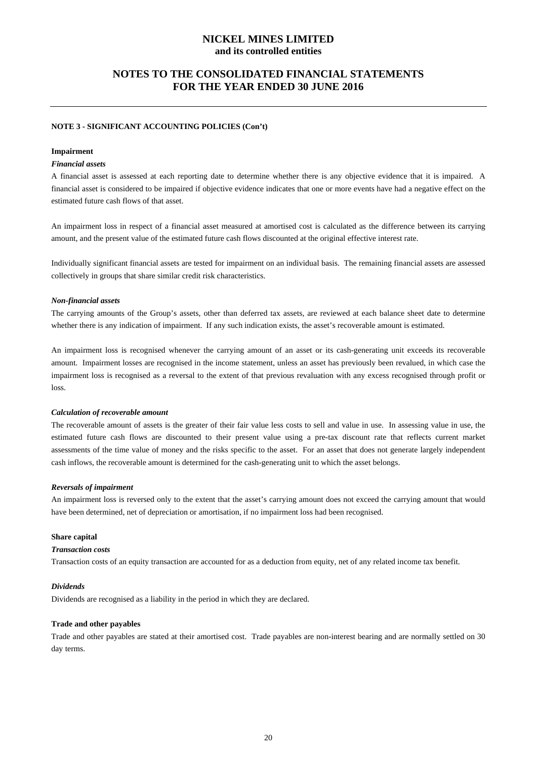# **NOTES TO THE CONSOLIDATED FINANCIAL STATEMENTS FOR THE YEAR ENDED 30 JUNE 2016**

#### **NOTE 3 - SIGNIFICANT ACCOUNTING POLICIES (Con't)**

#### **Impairment**

#### *Financial assets*

A financial asset is assessed at each reporting date to determine whether there is any objective evidence that it is impaired. A financial asset is considered to be impaired if objective evidence indicates that one or more events have had a negative effect on the estimated future cash flows of that asset.

An impairment loss in respect of a financial asset measured at amortised cost is calculated as the difference between its carrying amount, and the present value of the estimated future cash flows discounted at the original effective interest rate.

Individually significant financial assets are tested for impairment on an individual basis. The remaining financial assets are assessed collectively in groups that share similar credit risk characteristics.

#### *Non-financial assets*

The carrying amounts of the Group's assets, other than deferred tax assets, are reviewed at each balance sheet date to determine whether there is any indication of impairment. If any such indication exists, the asset's recoverable amount is estimated.

An impairment loss is recognised whenever the carrying amount of an asset or its cash-generating unit exceeds its recoverable amount. Impairment losses are recognised in the income statement, unless an asset has previously been revalued, in which case the impairment loss is recognised as a reversal to the extent of that previous revaluation with any excess recognised through profit or loss.

#### *Calculation of recoverable amount*

The recoverable amount of assets is the greater of their fair value less costs to sell and value in use. In assessing value in use, the estimated future cash flows are discounted to their present value using a pre-tax discount rate that reflects current market assessments of the time value of money and the risks specific to the asset. For an asset that does not generate largely independent cash inflows, the recoverable amount is determined for the cash-generating unit to which the asset belongs.

#### *Reversals of impairment*

An impairment loss is reversed only to the extent that the asset's carrying amount does not exceed the carrying amount that would have been determined, net of depreciation or amortisation, if no impairment loss had been recognised.

#### **Share capital**

#### *Transaction costs*

Transaction costs of an equity transaction are accounted for as a deduction from equity, net of any related income tax benefit.

#### *Dividends*

Dividends are recognised as a liability in the period in which they are declared.

#### **Trade and other payables**

Trade and other payables are stated at their amortised cost. Trade payables are non-interest bearing and are normally settled on 30 day terms.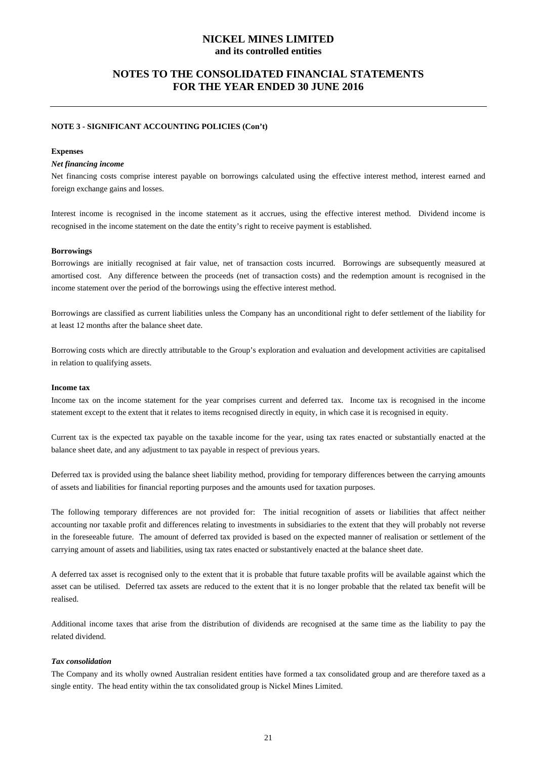# **NOTES TO THE CONSOLIDATED FINANCIAL STATEMENTS FOR THE YEAR ENDED 30 JUNE 2016**

#### **NOTE 3 - SIGNIFICANT ACCOUNTING POLICIES (Con't)**

#### **Expenses**

#### *Net financing income*

Net financing costs comprise interest payable on borrowings calculated using the effective interest method, interest earned and foreign exchange gains and losses.

Interest income is recognised in the income statement as it accrues, using the effective interest method. Dividend income is recognised in the income statement on the date the entity's right to receive payment is established.

#### **Borrowings**

Borrowings are initially recognised at fair value, net of transaction costs incurred. Borrowings are subsequently measured at amortised cost. Any difference between the proceeds (net of transaction costs) and the redemption amount is recognised in the income statement over the period of the borrowings using the effective interest method.

Borrowings are classified as current liabilities unless the Company has an unconditional right to defer settlement of the liability for at least 12 months after the balance sheet date.

Borrowing costs which are directly attributable to the Group's exploration and evaluation and development activities are capitalised in relation to qualifying assets.

#### **Income tax**

Income tax on the income statement for the year comprises current and deferred tax. Income tax is recognised in the income statement except to the extent that it relates to items recognised directly in equity, in which case it is recognised in equity.

Current tax is the expected tax payable on the taxable income for the year, using tax rates enacted or substantially enacted at the balance sheet date, and any adjustment to tax payable in respect of previous years.

Deferred tax is provided using the balance sheet liability method, providing for temporary differences between the carrying amounts of assets and liabilities for financial reporting purposes and the amounts used for taxation purposes.

The following temporary differences are not provided for: The initial recognition of assets or liabilities that affect neither accounting nor taxable profit and differences relating to investments in subsidiaries to the extent that they will probably not reverse in the foreseeable future. The amount of deferred tax provided is based on the expected manner of realisation or settlement of the carrying amount of assets and liabilities, using tax rates enacted or substantively enacted at the balance sheet date.

A deferred tax asset is recognised only to the extent that it is probable that future taxable profits will be available against which the asset can be utilised. Deferred tax assets are reduced to the extent that it is no longer probable that the related tax benefit will be realised.

Additional income taxes that arise from the distribution of dividends are recognised at the same time as the liability to pay the related dividend.

#### *Tax consolidation*

The Company and its wholly owned Australian resident entities have formed a tax consolidated group and are therefore taxed as a single entity. The head entity within the tax consolidated group is Nickel Mines Limited.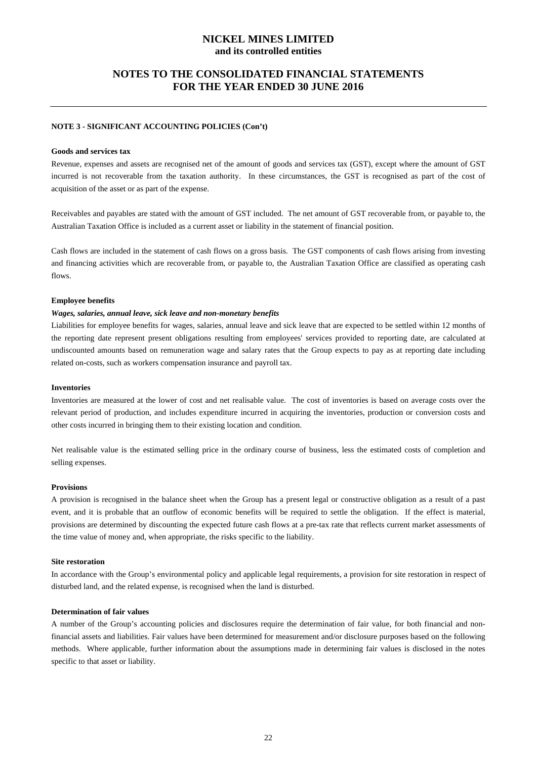# **NOTES TO THE CONSOLIDATED FINANCIAL STATEMENTS FOR THE YEAR ENDED 30 JUNE 2016**

#### **NOTE 3 - SIGNIFICANT ACCOUNTING POLICIES (Con't)**

#### **Goods and services tax**

Revenue, expenses and assets are recognised net of the amount of goods and services tax (GST), except where the amount of GST incurred is not recoverable from the taxation authority. In these circumstances, the GST is recognised as part of the cost of acquisition of the asset or as part of the expense.

Receivables and payables are stated with the amount of GST included. The net amount of GST recoverable from, or payable to, the Australian Taxation Office is included as a current asset or liability in the statement of financial position.

Cash flows are included in the statement of cash flows on a gross basis. The GST components of cash flows arising from investing and financing activities which are recoverable from, or payable to, the Australian Taxation Office are classified as operating cash flows.

#### **Employee benefits**

#### *Wages, salaries, annual leave, sick leave and non-monetary benefits*

Liabilities for employee benefits for wages, salaries, annual leave and sick leave that are expected to be settled within 12 months of the reporting date represent present obligations resulting from employees' services provided to reporting date, are calculated at undiscounted amounts based on remuneration wage and salary rates that the Group expects to pay as at reporting date including related on-costs, such as workers compensation insurance and payroll tax.

#### **Inventories**

Inventories are measured at the lower of cost and net realisable value. The cost of inventories is based on average costs over the relevant period of production, and includes expenditure incurred in acquiring the inventories, production or conversion costs and other costs incurred in bringing them to their existing location and condition.

Net realisable value is the estimated selling price in the ordinary course of business, less the estimated costs of completion and selling expenses.

#### **Provisions**

A provision is recognised in the balance sheet when the Group has a present legal or constructive obligation as a result of a past event, and it is probable that an outflow of economic benefits will be required to settle the obligation. If the effect is material, provisions are determined by discounting the expected future cash flows at a pre-tax rate that reflects current market assessments of the time value of money and, when appropriate, the risks specific to the liability.

#### **Site restoration**

In accordance with the Group's environmental policy and applicable legal requirements, a provision for site restoration in respect of disturbed land, and the related expense, is recognised when the land is disturbed.

#### **Determination of fair values**

A number of the Group's accounting policies and disclosures require the determination of fair value, for both financial and nonfinancial assets and liabilities. Fair values have been determined for measurement and/or disclosure purposes based on the following methods. Where applicable, further information about the assumptions made in determining fair values is disclosed in the notes specific to that asset or liability.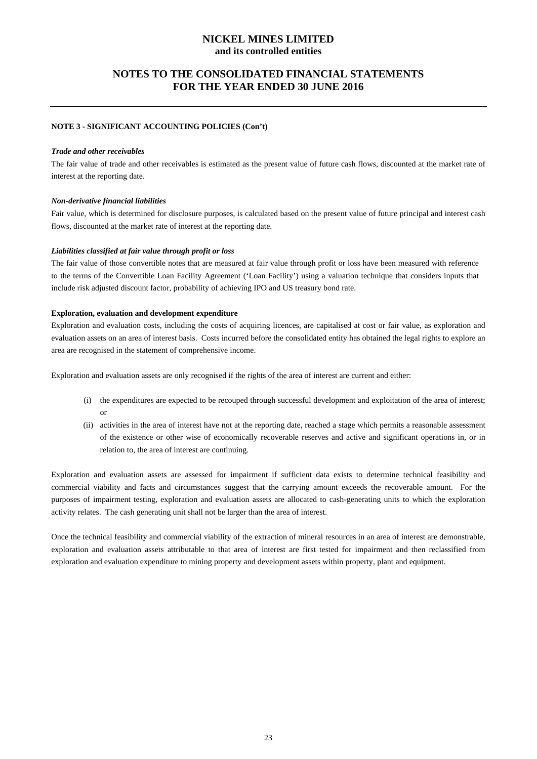# **NOTES TO THE CONSOLIDATED FINANCIAL STATEMENTS FOR THE YEAR ENDED 30 JUNE 2016**

#### **NOTE 3 - SIGNIFICANT ACCOUNTING POLICIES (Con't)**

#### *Trade and other receivables*

The fair value of trade and other receivables is estimated as the present value of future cash flows, discounted at the market rate of interest at the reporting date.

#### *Non-derivative financial liabilities*

Fair value, which is determined for disclosure purposes, is calculated based on the present value of future principal and interest cash flows, discounted at the market rate of interest at the reporting date.

#### *Liabilities classified at fair value through profit or loss*

The fair value of those convertible notes that are measured at fair value through profit or loss have been measured with reference to the terms of the Convertible Loan Facility Agreement ('Loan Facility') using a valuation technique that considers inputs that include risk adjusted discount factor, probability of achieving IPO and US treasury bond rate.

#### **Exploration, evaluation and development expenditure**

Exploration and evaluation costs, including the costs of acquiring licences, are capitalised at cost or fair value, as exploration and evaluation assets on an area of interest basis. Costs incurred before the consolidated entity has obtained the legal rights to explore an area are recognised in the statement of comprehensive income.

Exploration and evaluation assets are only recognised if the rights of the area of interest are current and either:

- (i) the expenditures are expected to be recouped through successful development and exploitation of the area of interest; or
- (ii) activities in the area of interest have not at the reporting date, reached a stage which permits a reasonable assessment of the existence or other wise of economically recoverable reserves and active and significant operations in, or in relation to, the area of interest are continuing.

Exploration and evaluation assets are assessed for impairment if sufficient data exists to determine technical feasibility and commercial viability and facts and circumstances suggest that the carrying amount exceeds the recoverable amount. For the purposes of impairment testing, exploration and evaluation assets are allocated to cash-generating units to which the exploration activity relates. The cash generating unit shall not be larger than the area of interest.

Once the technical feasibility and commercial viability of the extraction of mineral resources in an area of interest are demonstrable, exploration and evaluation assets attributable to that area of interest are first tested for impairment and then reclassified from exploration and evaluation expenditure to mining property and development assets within property, plant and equipment.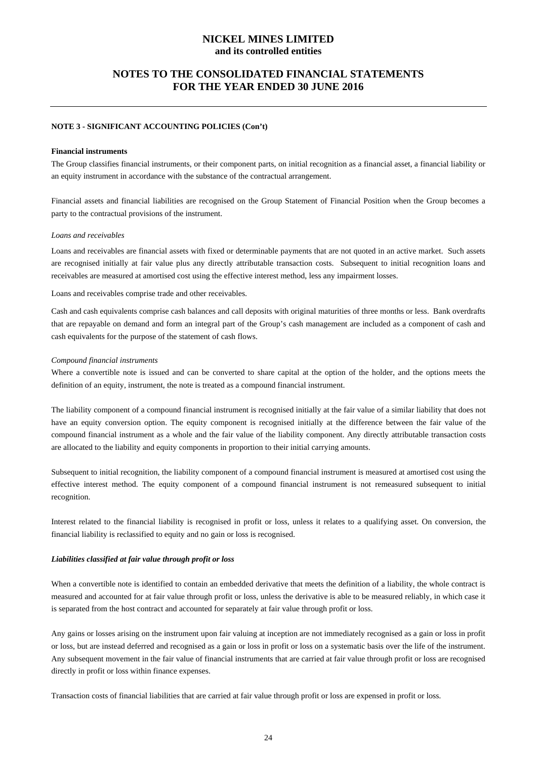# **NOTES TO THE CONSOLIDATED FINANCIAL STATEMENTS FOR THE YEAR ENDED 30 JUNE 2016**

#### **NOTE 3 - SIGNIFICANT ACCOUNTING POLICIES (Con't)**

#### **Financial instruments**

The Group classifies financial instruments, or their component parts, on initial recognition as a financial asset, a financial liability or an equity instrument in accordance with the substance of the contractual arrangement.

Financial assets and financial liabilities are recognised on the Group Statement of Financial Position when the Group becomes a party to the contractual provisions of the instrument.

#### *Loans and receivables*

Loans and receivables are financial assets with fixed or determinable payments that are not quoted in an active market. Such assets are recognised initially at fair value plus any directly attributable transaction costs. Subsequent to initial recognition loans and receivables are measured at amortised cost using the effective interest method, less any impairment losses.

Loans and receivables comprise trade and other receivables.

Cash and cash equivalents comprise cash balances and call deposits with original maturities of three months or less. Bank overdrafts that are repayable on demand and form an integral part of the Group's cash management are included as a component of cash and cash equivalents for the purpose of the statement of cash flows.

#### *Compound financial instruments*

Where a convertible note is issued and can be converted to share capital at the option of the holder, and the options meets the definition of an equity, instrument, the note is treated as a compound financial instrument.

The liability component of a compound financial instrument is recognised initially at the fair value of a similar liability that does not have an equity conversion option. The equity component is recognised initially at the difference between the fair value of the compound financial instrument as a whole and the fair value of the liability component. Any directly attributable transaction costs are allocated to the liability and equity components in proportion to their initial carrying amounts.

Subsequent to initial recognition, the liability component of a compound financial instrument is measured at amortised cost using the effective interest method. The equity component of a compound financial instrument is not remeasured subsequent to initial recognition.

Interest related to the financial liability is recognised in profit or loss, unless it relates to a qualifying asset. On conversion, the financial liability is reclassified to equity and no gain or loss is recognised.

#### *Liabilities classified at fair value through profit or loss*

When a convertible note is identified to contain an embedded derivative that meets the definition of a liability, the whole contract is measured and accounted for at fair value through profit or loss, unless the derivative is able to be measured reliably, in which case it is separated from the host contract and accounted for separately at fair value through profit or loss.

Any gains or losses arising on the instrument upon fair valuing at inception are not immediately recognised as a gain or loss in profit or loss, but are instead deferred and recognised as a gain or loss in profit or loss on a systematic basis over the life of the instrument. Any subsequent movement in the fair value of financial instruments that are carried at fair value through profit or loss are recognised directly in profit or loss within finance expenses.

Transaction costs of financial liabilities that are carried at fair value through profit or loss are expensed in profit or loss.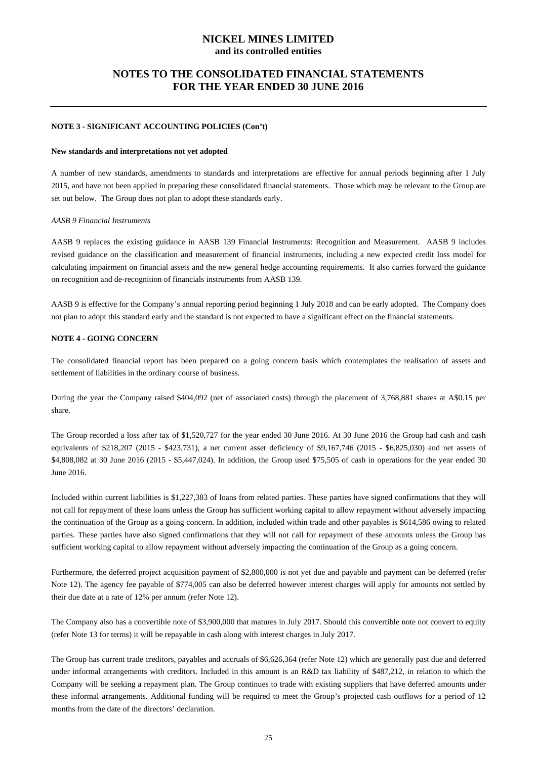# **NOTES TO THE CONSOLIDATED FINANCIAL STATEMENTS FOR THE YEAR ENDED 30 JUNE 2016**

#### **NOTE 3 - SIGNIFICANT ACCOUNTING POLICIES (Con't)**

#### **New standards and interpretations not yet adopted**

A number of new standards, amendments to standards and interpretations are effective for annual periods beginning after 1 July 2015, and have not been applied in preparing these consolidated financial statements. Those which may be relevant to the Group are set out below. The Group does not plan to adopt these standards early.

#### *AASB 9 Financial Instruments*

AASB 9 replaces the existing guidance in AASB 139 Financial Instruments: Recognition and Measurement. AASB 9 includes revised guidance on the classification and measurement of financial instruments, including a new expected credit loss model for calculating impairment on financial assets and the new general hedge accounting requirements. It also carries forward the guidance on recognition and de-recognition of financials instruments from AASB 139.

AASB 9 is effective for the Company's annual reporting period beginning 1 July 2018 and can be early adopted. The Company does not plan to adopt this standard early and the standard is not expected to have a significant effect on the financial statements.

#### **NOTE 4 - GOING CONCERN**

The consolidated financial report has been prepared on a going concern basis which contemplates the realisation of assets and settlement of liabilities in the ordinary course of business.

During the year the Company raised \$404,092 (net of associated costs) through the placement of 3,768,881 shares at A\$0.15 per share.

The Group recorded a loss after tax of \$1,520,727 for the year ended 30 June 2016. At 30 June 2016 the Group had cash and cash equivalents of \$218,207 (2015 - \$423,731), a net current asset deficiency of \$9,167,746 (2015 - \$6,825,030) and net assets of \$4,808,082 at 30 June 2016 (2015 - \$5,447,024). In addition, the Group used \$75,505 of cash in operations for the year ended 30 June 2016.

Included within current liabilities is \$1,227,383 of loans from related parties. These parties have signed confirmations that they will not call for repayment of these loans unless the Group has sufficient working capital to allow repayment without adversely impacting the continuation of the Group as a going concern. In addition, included within trade and other payables is \$614,586 owing to related parties. These parties have also signed confirmations that they will not call for repayment of these amounts unless the Group has sufficient working capital to allow repayment without adversely impacting the continuation of the Group as a going concern.

Furthermore, the deferred project acquisition payment of \$2,800,000 is not yet due and payable and payment can be deferred (refer Note 12). The agency fee payable of \$774,005 can also be deferred however interest charges will apply for amounts not settled by their due date at a rate of 12% per annum (refer Note 12).

The Company also has a convertible note of \$3,900,000 that matures in July 2017. Should this convertible note not convert to equity (refer Note 13 for terms) it will be repayable in cash along with interest charges in July 2017.

The Group has current trade creditors, payables and accruals of \$6,626,364 (refer Note 12) which are generally past due and deferred under informal arrangements with creditors. Included in this amount is an R&D tax liability of \$487,212, in relation to which the Company will be seeking a repayment plan. The Group continues to trade with existing suppliers that have deferred amounts under these informal arrangements. Additional funding will be required to meet the Group's projected cash outflows for a period of 12 months from the date of the directors' declaration.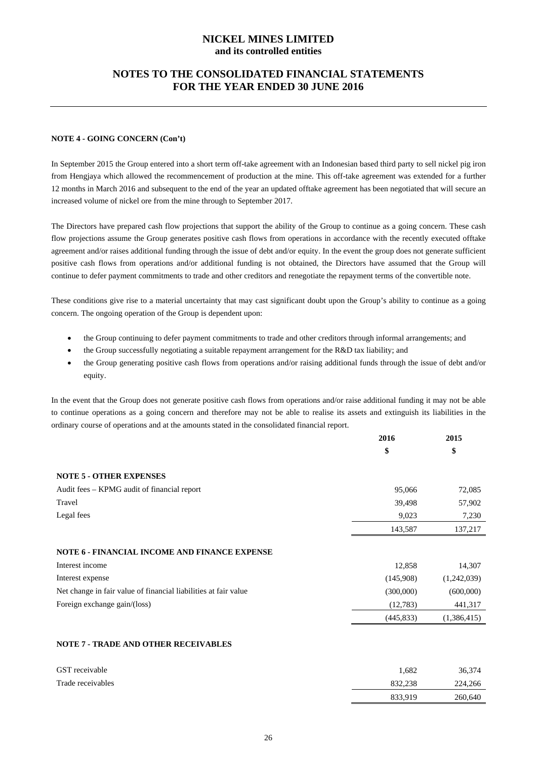# **NOTES TO THE CONSOLIDATED FINANCIAL STATEMENTS FOR THE YEAR ENDED 30 JUNE 2016**

#### **NOTE 4 - GOING CONCERN (Con't)**

In September 2015 the Group entered into a short term off-take agreement with an Indonesian based third party to sell nickel pig iron from Hengjaya which allowed the recommencement of production at the mine. This off-take agreement was extended for a further 12 months in March 2016 and subsequent to the end of the year an updated offtake agreement has been negotiated that will secure an increased volume of nickel ore from the mine through to September 2017.

The Directors have prepared cash flow projections that support the ability of the Group to continue as a going concern. These cash flow projections assume the Group generates positive cash flows from operations in accordance with the recently executed offtake agreement and/or raises additional funding through the issue of debt and/or equity. In the event the group does not generate sufficient positive cash flows from operations and/or additional funding is not obtained, the Directors have assumed that the Group will continue to defer payment commitments to trade and other creditors and renegotiate the repayment terms of the convertible note.

These conditions give rise to a material uncertainty that may cast significant doubt upon the Group's ability to continue as a going concern. The ongoing operation of the Group is dependent upon:

- the Group continuing to defer payment commitments to trade and other creditors through informal arrangements; and
- the Group successfully negotiating a suitable repayment arrangement for the R&D tax liability; and
- the Group generating positive cash flows from operations and/or raising additional funds through the issue of debt and/or equity.

In the event that the Group does not generate positive cash flows from operations and/or raise additional funding it may not be able to continue operations as a going concern and therefore may not be able to realise its assets and extinguish its liabilities in the ordinary course of operations and at the amounts stated in the consolidated financial report.

|                                                                 | 2016       | 2015        |
|-----------------------------------------------------------------|------------|-------------|
|                                                                 | \$         | \$          |
| <b>NOTE 5 - OTHER EXPENSES</b>                                  |            |             |
| Audit fees – KPMG audit of financial report                     | 95,066     | 72,085      |
| Travel                                                          | 39,498     | 57,902      |
| Legal fees                                                      | 9,023      | 7,230       |
|                                                                 | 143,587    | 137,217     |
| NOTE 6 - FINANCIAL INCOME AND FINANCE EXPENSE                   |            |             |
| Interest income                                                 | 12,858     | 14,307      |
| Interest expense                                                | (145,908)  | (1,242,039) |
| Net change in fair value of financial liabilities at fair value | (300,000)  | (600,000)   |
| Foreign exchange gain/(loss)                                    | (12,783)   | 441,317     |
|                                                                 | (445, 833) | (1,386,415) |
|                                                                 |            |             |

#### **NOTE 7 - TRADE AND OTHER RECEIVABLES**

| GST receivable    | 1.682   | 36,374  |
|-------------------|---------|---------|
| Trade receivables | 832,238 | 224,266 |
|                   | 833,919 | 260,640 |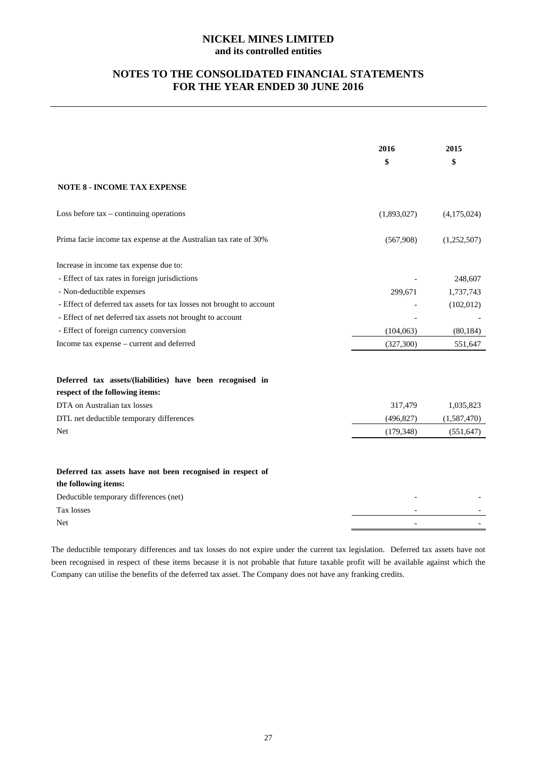# **NOTES TO THE CONSOLIDATED FINANCIAL STATEMENTS FOR THE YEAR ENDED 30 JUNE 2016**

|                                                                       | 2016           | 2015        |
|-----------------------------------------------------------------------|----------------|-------------|
|                                                                       | \$             | \$          |
| <b>NOTE 8 - INCOME TAX EXPENSE</b>                                    |                |             |
| Loss before $tax - continuing$ operations                             | (1,893,027)    | (4,175,024) |
| Prima facie income tax expense at the Australian tax rate of 30%      | (567,908)      | (1,252,507) |
| Increase in income tax expense due to:                                |                |             |
| - Effect of tax rates in foreign jurisdictions                        |                | 248,607     |
| - Non-deductible expenses                                             | 299,671        | 1,737,743   |
| - Effect of deferred tax assets for tax losses not brought to account |                | (102, 012)  |
| - Effect of net deferred tax assets not brought to account            |                |             |
| - Effect of foreign currency conversion                               | (104, 063)     | (80, 184)   |
| Income tax expense – current and deferred                             | (327, 300)     | 551,647     |
| Deferred tax assets/(liabilities) have been recognised in             |                |             |
| respect of the following items:                                       |                |             |
| DTA on Australian tax losses                                          | 317,479        | 1,035,823   |
| DTL net deductible temporary differences                              | (496, 827)     | (1,587,470) |
| Net                                                                   | (179, 348)     | (551, 647)  |
| Deferred tax assets have not been recognised in respect of            |                |             |
| the following items:                                                  |                |             |
| Deductible temporary differences (net)                                |                |             |
| Tax losses                                                            |                |             |
| Net                                                                   | $\overline{a}$ |             |
|                                                                       |                |             |

The deductible temporary differences and tax losses do not expire under the current tax legislation. Deferred tax assets have not been recognised in respect of these items because it is not probable that future taxable profit will be available against which the Company can utilise the benefits of the deferred tax asset. The Company does not have any franking credits.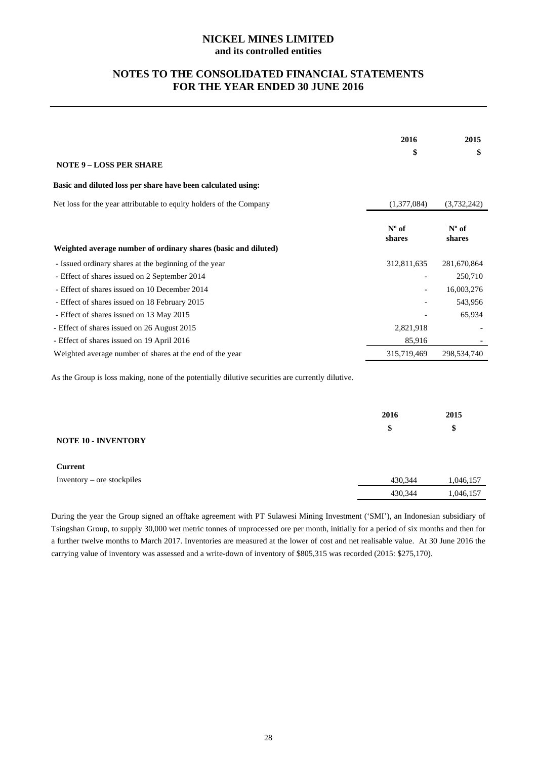# **NOTES TO THE CONSOLIDATED FINANCIAL STATEMENTS FOR THE YEAR ENDED 30 JUNE 2016**

| <b>NOTE 9 - LOSS PER SHARE</b>                                      | 2016<br>\$               | 2015<br>\$               |
|---------------------------------------------------------------------|--------------------------|--------------------------|
| Basic and diluted loss per share have been calculated using:        |                          |                          |
| Net loss for the year attributable to equity holders of the Company | (1,377,084)              | (3,732,242)              |
| Weighted average number of ordinary shares (basic and diluted)      | $N^{\circ}$ of<br>shares | $N^{\circ}$ of<br>shares |
| - Issued ordinary shares at the beginning of the year               | 312,811,635              | 281,670,864              |
| - Effect of shares issued on 2 September 2014                       |                          | 250,710                  |
| - Effect of shares issued on 10 December 2014                       |                          | 16,003,276               |
| - Effect of shares issued on 18 February 2015                       |                          | 543,956                  |
| - Effect of shares issued on 13 May 2015                            |                          | 65,934                   |
| - Effect of shares issued on 26 August 2015                         | 2,821,918                |                          |
| - Effect of shares issued on 19 April 2016                          | 85,916                   |                          |
| Weighted average number of shares at the end of the year            | 315,719,469              | 298,534,740              |

As the Group is loss making, none of the potentially dilutive securities are currently dilutive.

| <b>NOTE 10 - INVENTORY</b> | 2016<br>\$ | 2015<br>\$ |
|----------------------------|------------|------------|
| <b>Current</b>             |            |            |
| Inventory – ore stockpiles | 430,344    | 1,046,157  |
|                            | 430,344    | 1,046,157  |

During the year the Group signed an offtake agreement with PT Sulawesi Mining Investment ('SMI'), an Indonesian subsidiary of Tsingshan Group, to supply 30,000 wet metric tonnes of unprocessed ore per month, initially for a period of six months and then for a further twelve months to March 2017. Inventories are measured at the lower of cost and net realisable value. At 30 June 2016 the carrying value of inventory was assessed and a write-down of inventory of \$805,315 was recorded (2015: \$275,170).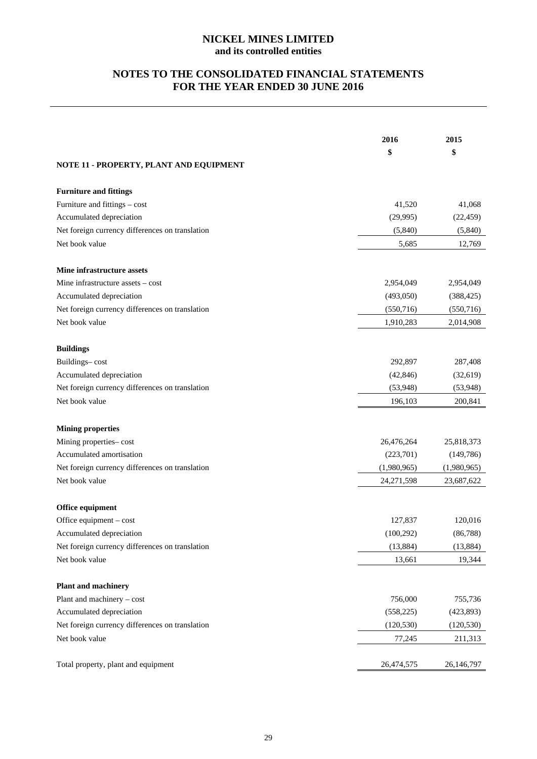# **NOTES TO THE CONSOLIDATED FINANCIAL STATEMENTS FOR THE YEAR ENDED 30 JUNE 2016**

|                                                 | 2016        | 2015        |
|-------------------------------------------------|-------------|-------------|
|                                                 | \$          | \$          |
| NOTE 11 - PROPERTY, PLANT AND EQUIPMENT         |             |             |
| <b>Furniture and fittings</b>                   |             |             |
| Furniture and fittings - cost                   | 41,520      | 41,068      |
| Accumulated depreciation                        | (29,995)    | (22, 459)   |
| Net foreign currency differences on translation | (5,840)     | (5,840)     |
| Net book value                                  | 5,685       | 12,769      |
| Mine infrastructure assets                      |             |             |
| Mine infrastructure assets – cost               | 2,954,049   | 2,954,049   |
| Accumulated depreciation                        | (493,050)   | (388, 425)  |
| Net foreign currency differences on translation | (550, 716)  | (550, 716)  |
| Net book value                                  | 1,910,283   | 2,014,908   |
| <b>Buildings</b>                                |             |             |
| Buildings-cost                                  | 292,897     | 287,408     |
| Accumulated depreciation                        | (42, 846)   | (32, 619)   |
| Net foreign currency differences on translation | (53,948)    | (53, 948)   |
| Net book value                                  | 196,103     | 200,841     |
| <b>Mining properties</b>                        |             |             |
| Mining properties-cost                          | 26,476,264  | 25,818,373  |
| Accumulated amortisation                        | (223,701)   | (149, 786)  |
| Net foreign currency differences on translation | (1,980,965) | (1,980,965) |
| Net book value                                  | 24,271,598  | 23,687,622  |
| Office equipment                                |             |             |
| Office equipment - cost                         | 127,837     | 120,016     |
| Accumulated depreciation                        | (100, 292)  | (86, 788)   |
| Net foreign currency differences on translation | (13, 884)   | (13, 884)   |
| Net book value                                  | 13,661      | 19,344      |
| <b>Plant and machinery</b>                      |             |             |
| Plant and machinery - cost                      | 756,000     | 755,736     |
| Accumulated depreciation                        | (558, 225)  | (423, 893)  |
| Net foreign currency differences on translation | (120, 530)  | (120, 530)  |
| Net book value                                  | 77,245      | 211,313     |
|                                                 |             |             |
| Total property, plant and equipment             | 26,474,575  | 26,146,797  |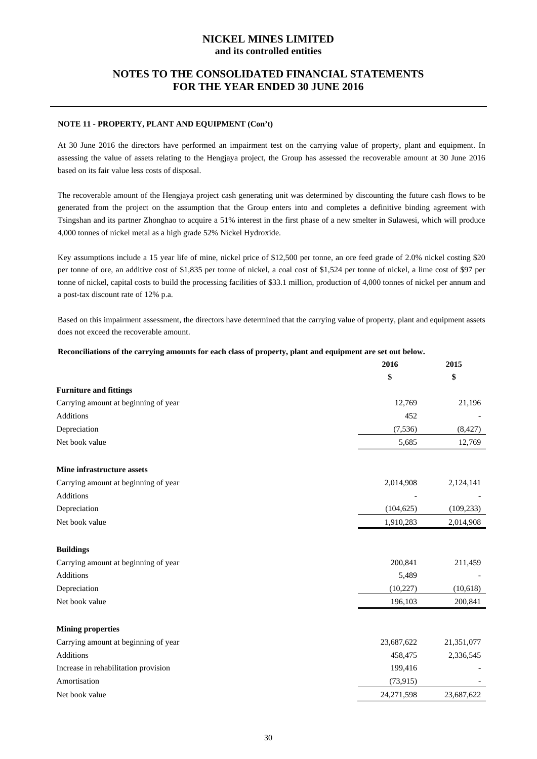# **NOTES TO THE CONSOLIDATED FINANCIAL STATEMENTS FOR THE YEAR ENDED 30 JUNE 2016**

#### **NOTE 11 - PROPERTY, PLANT AND EQUIPMENT (Con't)**

At 30 June 2016 the directors have performed an impairment test on the carrying value of property, plant and equipment. In assessing the value of assets relating to the Hengjaya project, the Group has assessed the recoverable amount at 30 June 2016 based on its fair value less costs of disposal.

The recoverable amount of the Hengjaya project cash generating unit was determined by discounting the future cash flows to be generated from the project on the assumption that the Group enters into and completes a definitive binding agreement with Tsingshan and its partner Zhonghao to acquire a 51% interest in the first phase of a new smelter in Sulawesi, which will produce 4,000 tonnes of nickel metal as a high grade 52% Nickel Hydroxide.

Key assumptions include a 15 year life of mine, nickel price of \$12,500 per tonne, an ore feed grade of 2.0% nickel costing \$20 per tonne of ore, an additive cost of \$1,835 per tonne of nickel, a coal cost of \$1,524 per tonne of nickel, a lime cost of \$97 per tonne of nickel, capital costs to build the processing facilities of \$33.1 million, production of 4,000 tonnes of nickel per annum and a post-tax discount rate of 12% p.a.

Based on this impairment assessment, the directors have determined that the carrying value of property, plant and equipment assets does not exceed the recoverable amount.

|                                      | 2016       | 2015       |
|--------------------------------------|------------|------------|
|                                      | \$         | \$         |
| <b>Furniture and fittings</b>        |            |            |
| Carrying amount at beginning of year | 12,769     | 21,196     |
| <b>Additions</b>                     | 452        |            |
| Depreciation                         | (7, 536)   | (8, 427)   |
| Net book value                       | 5,685      | 12,769     |
| Mine infrastructure assets           |            |            |
| Carrying amount at beginning of year | 2,014,908  | 2,124,141  |
| Additions                            |            |            |
| Depreciation                         | (104, 625) | (109, 233) |
| Net book value                       | 1,910,283  | 2,014,908  |
| <b>Buildings</b>                     |            |            |
| Carrying amount at beginning of year | 200,841    | 211,459    |
| Additions                            | 5,489      |            |
| Depreciation                         | (10, 227)  | (10,618)   |
| Net book value                       | 196,103    | 200,841    |
| <b>Mining properties</b>             |            |            |
| Carrying amount at beginning of year | 23,687,622 | 21,351,077 |
| Additions                            | 458,475    | 2,336,545  |
| Increase in rehabilitation provision | 199,416    |            |
| Amortisation                         | (73, 915)  |            |
| Net book value                       | 24,271,598 | 23,687,622 |
|                                      |            |            |

#### **Reconciliations of the carrying amounts for each class of property, plant and equipment are set out below.**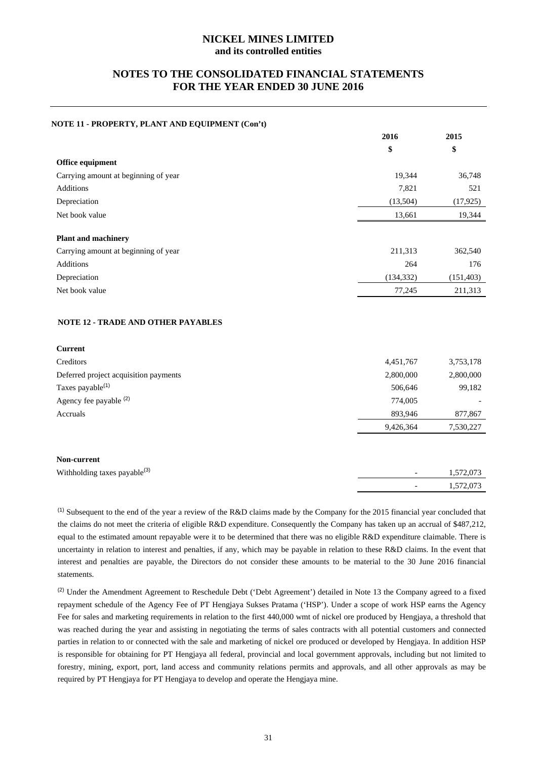### **NOTES TO THE CONSOLIDATED FINANCIAL STATEMENTS FOR THE YEAR ENDED 30 JUNE 2016**

#### **NOTE 11 - PROPERTY, PLANT AND EQUIPMENT (Con't)**

| 2016       | 2015       |
|------------|------------|
| \$         | \$         |
|            |            |
| 19,344     | 36,748     |
| 7,821      | 521        |
| (13,504)   | (17, 925)  |
| 13,661     | 19,344     |
|            |            |
| 211,313    | 362,540    |
| 264        | 176        |
| (134, 332) | (151, 403) |
| 77,245     | 211,313    |
|            |            |
|            |            |

#### **NOTE 12 - TRADE AND OTHER PAYABLES**

| <b>Current</b>                           |           |           |
|------------------------------------------|-----------|-----------|
| Creditors                                | 4,451,767 | 3,753,178 |
| Deferred project acquisition payments    | 2,800,000 | 2,800,000 |
| Taxes payable <sup>(1)</sup>             | 506,646   | 99,182    |
| Agency fee payable <sup>(2)</sup>        | 774,005   |           |
| Accruals                                 | 893,946   | 877,867   |
|                                          | 9,426,364 | 7,530,227 |
|                                          |           |           |
| Non-current                              |           |           |
| Withholding taxes payable <sup>(3)</sup> |           | 1,572,073 |
|                                          |           | 1,572,073 |

(1) Subsequent to the end of the year a review of the R&D claims made by the Company for the 2015 financial year concluded that the claims do not meet the criteria of eligible R&D expenditure. Consequently the Company has taken up an accrual of \$487,212, equal to the estimated amount repayable were it to be determined that there was no eligible R&D expenditure claimable. There is uncertainty in relation to interest and penalties, if any, which may be payable in relation to these R&D claims. In the event that interest and penalties are payable, the Directors do not consider these amounts to be material to the 30 June 2016 financial statements.

<sup>(2)</sup> Under the Amendment Agreement to Reschedule Debt ('Debt Agreement') detailed in Note 13 the Company agreed to a fixed repayment schedule of the Agency Fee of PT Hengjaya Sukses Pratama ('HSP'). Under a scope of work HSP earns the Agency Fee for sales and marketing requirements in relation to the first 440,000 wmt of nickel ore produced by Hengjaya, a threshold that was reached during the year and assisting in negotiating the terms of sales contracts with all potential customers and connected parties in relation to or connected with the sale and marketing of nickel ore produced or developed by Hengjaya. In addition HSP is responsible for obtaining for PT Hengjaya all federal, provincial and local government approvals, including but not limited to forestry, mining, export, port, land access and community relations permits and approvals, and all other approvals as may be required by PT Hengjaya for PT Hengjaya to develop and operate the Hengjaya mine.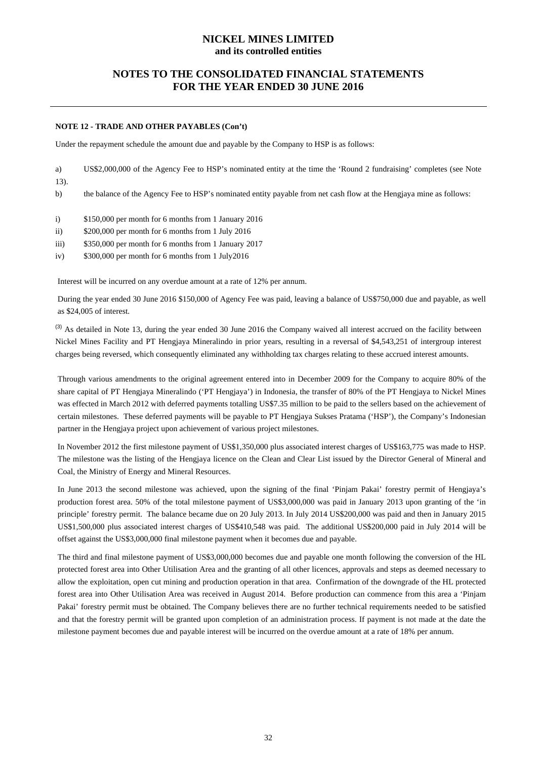# **NOTES TO THE CONSOLIDATED FINANCIAL STATEMENTS FOR THE YEAR ENDED 30 JUNE 2016**

#### **NOTE 12 - TRADE AND OTHER PAYABLES (Con't)**

Under the repayment schedule the amount due and payable by the Company to HSP is as follows:

- a) US\$2,000,000 of the Agency Fee to HSP's nominated entity at the time the 'Round 2 fundraising' completes (see Note
- 13).
- b) the balance of the Agency Fee to HSP's nominated entity payable from net cash flow at the Hengjaya mine as follows:
- i) \$150,000 per month for 6 months from 1 January 2016
- ii) \$200,000 per month for 6 months from 1 July 2016
- iii) \$350,000 per month for 6 months from 1 January 2017
- iv) \$300,000 per month for 6 months from 1 July2016

Interest will be incurred on any overdue amount at a rate of 12% per annum.

During the year ended 30 June 2016 \$150,000 of Agency Fee was paid, leaving a balance of US\$750,000 due and payable, as well as \$24,005 of interest.

 $^{(3)}$  As detailed in Note 13, during the year ended 30 June 2016 the Company waived all interest accrued on the facility between Nickel Mines Facility and PT Hengjaya Mineralindo in prior years, resulting in a reversal of \$4,543,251 of intergroup interest charges being reversed, which consequently eliminated any withholding tax charges relating to these accrued interest amounts.

Through various amendments to the original agreement entered into in December 2009 for the Company to acquire 80% of the share capital of PT Hengjaya Mineralindo ('PT Hengjaya') in Indonesia, the transfer of 80% of the PT Hengjaya to Nickel Mines was effected in March 2012 with deferred payments totalling US\$7.35 million to be paid to the sellers based on the achievement of certain milestones. These deferred payments will be payable to PT Hengjaya Sukses Pratama ('HSP'), the Company's Indonesian partner in the Hengjaya project upon achievement of various project milestones.

In November 2012 the first milestone payment of US\$1,350,000 plus associated interest charges of US\$163,775 was made to HSP. The milestone was the listing of the Hengjaya licence on the Clean and Clear List issued by the Director General of Mineral and Coal, the Ministry of Energy and Mineral Resources.

In June 2013 the second milestone was achieved, upon the signing of the final 'Pinjam Pakai' forestry permit of Hengjaya's production forest area. 50% of the total milestone payment of US\$3,000,000 was paid in January 2013 upon granting of the 'in principle' forestry permit. The balance became due on 20 July 2013. In July 2014 US\$200,000 was paid and then in January 2015 US\$1,500,000 plus associated interest charges of US\$410,548 was paid. The additional US\$200,000 paid in July 2014 will be offset against the US\$3,000,000 final milestone payment when it becomes due and payable.

The third and final milestone payment of US\$3,000,000 becomes due and payable one month following the conversion of the HL protected forest area into Other Utilisation Area and the granting of all other licences, approvals and steps as deemed necessary to allow the exploitation, open cut mining and production operation in that area. Confirmation of the downgrade of the HL protected forest area into Other Utilisation Area was received in August 2014. Before production can commence from this area a 'Pinjam Pakai' forestry permit must be obtained. The Company believes there are no further technical requirements needed to be satisfied and that the forestry permit will be granted upon completion of an administration process. If payment is not made at the date the milestone payment becomes due and payable interest will be incurred on the overdue amount at a rate of 18% per annum.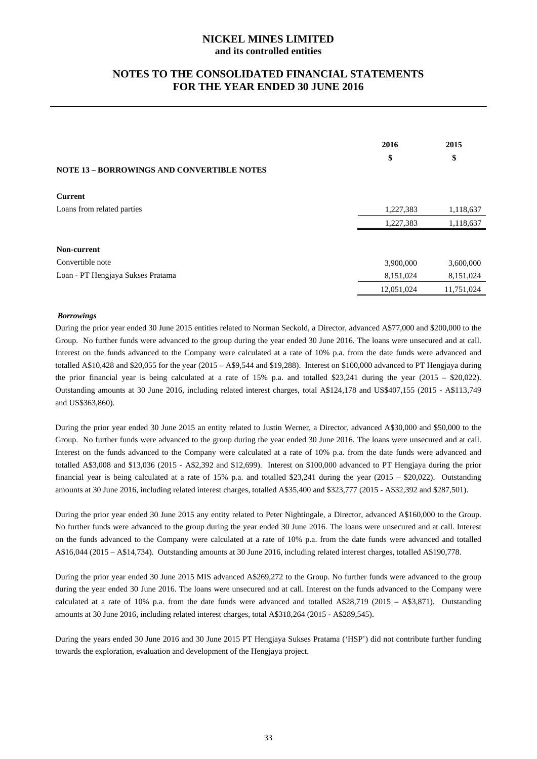### **NOTES TO THE CONSOLIDATED FINANCIAL STATEMENTS FOR THE YEAR ENDED 30 JUNE 2016**

|                                                   | 2016       | 2015       |
|---------------------------------------------------|------------|------------|
| <b>NOTE 13 - BORROWINGS AND CONVERTIBLE NOTES</b> | \$         | \$         |
| <b>Current</b>                                    |            |            |
| Loans from related parties                        | 1,227,383  | 1,118,637  |
|                                                   | 1,227,383  | 1,118,637  |
| Non-current                                       |            |            |
| Convertible note                                  | 3,900,000  | 3,600,000  |
| Loan - PT Hengjaya Sukses Pratama                 | 8,151,024  | 8,151,024  |
|                                                   | 12,051,024 | 11,751,024 |

#### *Borrowings*

During the prior year ended 30 June 2015 entities related to Norman Seckold, a Director, advanced A\$77,000 and \$200,000 to the Group. No further funds were advanced to the group during the year ended 30 June 2016. The loans were unsecured and at call. Interest on the funds advanced to the Company were calculated at a rate of 10% p.a. from the date funds were advanced and totalled A\$10,428 and \$20,055 for the year (2015 – A\$9,544 and \$19,288). Interest on \$100,000 advanced to PT Hengjaya during the prior financial year is being calculated at a rate of 15% p.a. and totalled \$23,241 during the year (2015 – \$20,022). Outstanding amounts at 30 June 2016, including related interest charges, total A\$124,178 and US\$407,155 (2015 - A\$113,749 and US\$363,860).

During the prior year ended 30 June 2015 an entity related to Justin Werner, a Director, advanced A\$30,000 and \$50,000 to the Group. No further funds were advanced to the group during the year ended 30 June 2016. The loans were unsecured and at call. Interest on the funds advanced to the Company were calculated at a rate of 10% p.a. from the date funds were advanced and totalled A\$3,008 and \$13,036 (2015 - A\$2,392 and \$12,699). Interest on \$100,000 advanced to PT Hengjaya during the prior financial year is being calculated at a rate of 15% p.a. and totalled \$23,241 during the year (2015 – \$20,022). Outstanding amounts at 30 June 2016, including related interest charges, totalled A\$35,400 and \$323,777 (2015 - A\$32,392 and \$287,501).

During the prior year ended 30 June 2015 any entity related to Peter Nightingale, a Director, advanced A\$160,000 to the Group. No further funds were advanced to the group during the year ended 30 June 2016. The loans were unsecured and at call. Interest on the funds advanced to the Company were calculated at a rate of 10% p.a. from the date funds were advanced and totalled A\$16,044 (2015 – A\$14,734). Outstanding amounts at 30 June 2016, including related interest charges, totalled A\$190,778.

During the prior year ended 30 June 2015 MIS advanced A\$269,272 to the Group. No further funds were advanced to the group during the year ended 30 June 2016. The loans were unsecured and at call. Interest on the funds advanced to the Company were calculated at a rate of 10% p.a. from the date funds were advanced and totalled A\$28,719 (2015 – A\$3,871). Outstanding amounts at 30 June 2016, including related interest charges, total A\$318,264 (2015 - A\$289,545).

During the years ended 30 June 2016 and 30 June 2015 PT Hengjaya Sukses Pratama ('HSP') did not contribute further funding towards the exploration, evaluation and development of the Hengjaya project.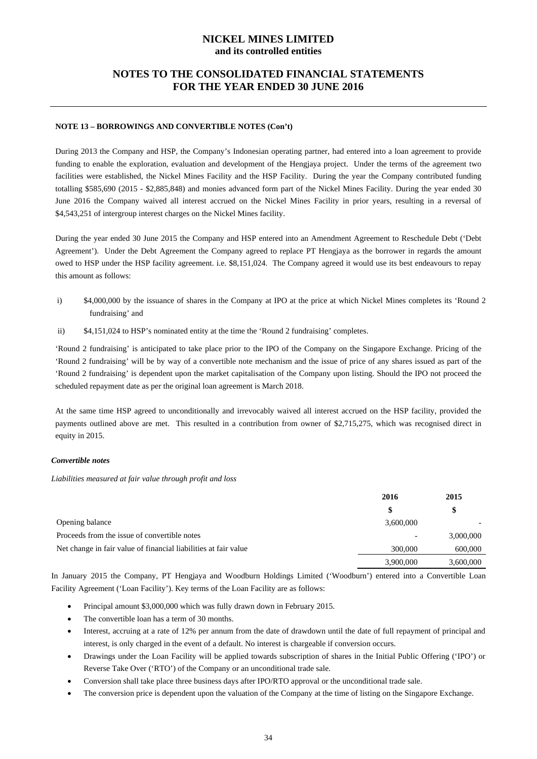# **NOTES TO THE CONSOLIDATED FINANCIAL STATEMENTS FOR THE YEAR ENDED 30 JUNE 2016**

#### **NOTE 13 – BORROWINGS AND CONVERTIBLE NOTES (Con't)**

During 2013 the Company and HSP, the Company's Indonesian operating partner, had entered into a loan agreement to provide funding to enable the exploration, evaluation and development of the Hengjaya project. Under the terms of the agreement two facilities were established, the Nickel Mines Facility and the HSP Facility. During the year the Company contributed funding totalling \$585,690 (2015 - \$2,885,848) and monies advanced form part of the Nickel Mines Facility. During the year ended 30 June 2016 the Company waived all interest accrued on the Nickel Mines Facility in prior years, resulting in a reversal of \$4,543,251 of intergroup interest charges on the Nickel Mines facility.

During the year ended 30 June 2015 the Company and HSP entered into an Amendment Agreement to Reschedule Debt ('Debt Agreement'). Under the Debt Agreement the Company agreed to replace PT Hengjaya as the borrower in regards the amount owed to HSP under the HSP facility agreement. i.e. \$8,151,024. The Company agreed it would use its best endeavours to repay this amount as follows:

- i) \$4,000,000 by the issuance of shares in the Company at IPO at the price at which Nickel Mines completes its 'Round 2 fundraising' and
- ii) \$4,151,024 to HSP's nominated entity at the time the 'Round 2 fundraising' completes.

'Round 2 fundraising' is anticipated to take place prior to the IPO of the Company on the Singapore Exchange. Pricing of the 'Round 2 fundraising' will be by way of a convertible note mechanism and the issue of price of any shares issued as part of the 'Round 2 fundraising' is dependent upon the market capitalisation of the Company upon listing. Should the IPO not proceed the scheduled repayment date as per the original loan agreement is March 2018.

At the same time HSP agreed to unconditionally and irrevocably waived all interest accrued on the HSP facility, provided the payments outlined above are met. This resulted in a contribution from owner of \$2,715,275, which was recognised direct in equity in 2015.

#### *Convertible notes*

*Liabilities measured at fair value through profit and loss* 

|                                                                 | 2016      | 2015      |
|-----------------------------------------------------------------|-----------|-----------|
|                                                                 | \$.       | \$        |
| Opening balance                                                 | 3,600,000 |           |
| Proceeds from the issue of convertible notes                    | -         | 3,000,000 |
| Net change in fair value of financial liabilities at fair value | 300,000   | 600,000   |
|                                                                 | 3,900,000 | 3,600,000 |

In January 2015 the Company, PT Hengjaya and Woodburn Holdings Limited ('Woodburn') entered into a Convertible Loan Facility Agreement ('Loan Facility'). Key terms of the Loan Facility are as follows:

- Principal amount \$3,000,000 which was fully drawn down in February 2015.
- The convertible loan has a term of 30 months.
- Interest, accruing at a rate of 12% per annum from the date of drawdown until the date of full repayment of principal and interest, is only charged in the event of a default. No interest is chargeable if conversion occurs.
- Drawings under the Loan Facility will be applied towards subscription of shares in the Initial Public Offering ('IPO') or Reverse Take Over ('RTO') of the Company or an unconditional trade sale.
- Conversion shall take place three business days after IPO/RTO approval or the unconditional trade sale.
- The conversion price is dependent upon the valuation of the Company at the time of listing on the Singapore Exchange.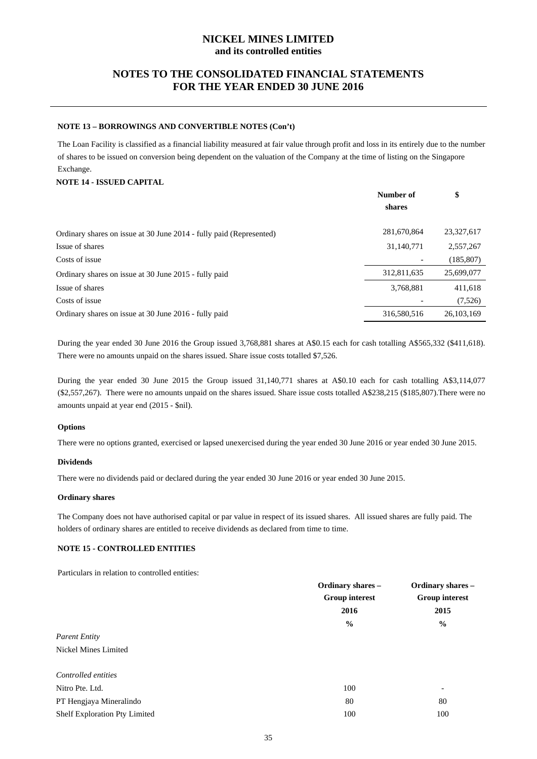# **NOTES TO THE CONSOLIDATED FINANCIAL STATEMENTS FOR THE YEAR ENDED 30 JUNE 2016**

#### **NOTE 13 – BORROWINGS AND CONVERTIBLE NOTES (Con't)**

The Loan Facility is classified as a financial liability measured at fair value through profit and loss in its entirely due to the number of shares to be issued on conversion being dependent on the valuation of the Company at the time of listing on the Singapore Exchange.

#### **NOTE 14 - ISSUED CAPITAL**

|                                                                     | Number of<br>shares | \$           |
|---------------------------------------------------------------------|---------------------|--------------|
| Ordinary shares on issue at 30 June 2014 - fully paid (Represented) | 281,670,864         | 23,327,617   |
| Issue of shares                                                     | 31,140,771          | 2,557,267    |
| Costs of issue                                                      |                     | (185, 807)   |
| Ordinary shares on issue at 30 June 2015 - fully paid               | 312,811,635         | 25,699,077   |
| Issue of shares                                                     | 3,768,881           | 411,618      |
| Costs of issue                                                      |                     | (7,526)      |
| Ordinary shares on issue at 30 June 2016 - fully paid               | 316,580,516         | 26, 103, 169 |

During the year ended 30 June 2016 the Group issued 3,768,881 shares at A\$0.15 each for cash totalling A\$565,332 (\$411,618). There were no amounts unpaid on the shares issued. Share issue costs totalled \$7,526.

During the year ended 30 June 2015 the Group issued 31,140,771 shares at A\$0.10 each for cash totalling A\$3,114,077 (\$2,557,267). There were no amounts unpaid on the shares issued. Share issue costs totalled A\$238,215 (\$185,807).There were no amounts unpaid at year end (2015 - \$nil).

#### **Options**

There were no options granted, exercised or lapsed unexercised during the year ended 30 June 2016 or year ended 30 June 2015.

#### **Dividends**

There were no dividends paid or declared during the year ended 30 June 2016 or year ended 30 June 2015.

#### **Ordinary shares**

The Company does not have authorised capital or par value in respect of its issued shares. All issued shares are fully paid. The holders of ordinary shares are entitled to receive dividends as declared from time to time.

#### **NOTE 15 - CONTROLLED ENTITIES**

Particulars in relation to controlled entities:

|                                      | Ordinary shares -     | Ordinary shares -        |  |
|--------------------------------------|-----------------------|--------------------------|--|
|                                      | <b>Group interest</b> | <b>Group interest</b>    |  |
|                                      | 2016                  | 2015                     |  |
|                                      | $\frac{6}{9}$         | $\%$                     |  |
| <b>Parent Entity</b>                 |                       |                          |  |
| Nickel Mines Limited                 |                       |                          |  |
| Controlled entities                  |                       |                          |  |
| Nitro Pte. Ltd.                      | 100                   | $\overline{\phantom{a}}$ |  |
| PT Hengjaya Mineralindo              | 80                    | 80                       |  |
| <b>Shelf Exploration Pty Limited</b> | 100                   | 100                      |  |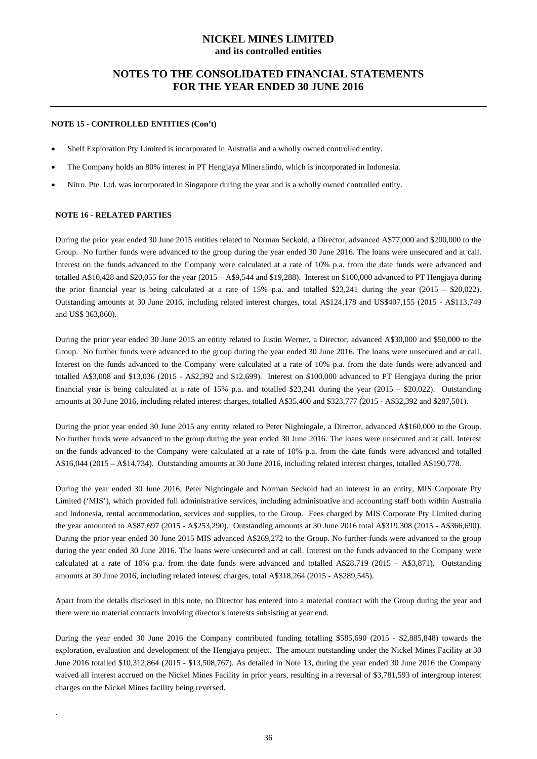# **NOTES TO THE CONSOLIDATED FINANCIAL STATEMENTS FOR THE YEAR ENDED 30 JUNE 2016**

#### **NOTE 15 - CONTROLLED ENTITIES (Con't)**

- Shelf Exploration Pty Limited is incorporated in Australia and a wholly owned controlled entity.
- The Company holds an 80% interest in PT Hengjaya Mineralindo, which is incorporated in Indonesia.
- Nitro. Pte. Ltd. was incorporated in Singapore during the year and is a wholly owned controlled entity.

#### **NOTE 16 - RELATED PARTIES**

.

During the prior year ended 30 June 2015 entities related to Norman Seckold, a Director, advanced A\$77,000 and \$200,000 to the Group. No further funds were advanced to the group during the year ended 30 June 2016. The loans were unsecured and at call. Interest on the funds advanced to the Company were calculated at a rate of 10% p.a. from the date funds were advanced and totalled A\$10,428 and \$20,055 for the year (2015 – A\$9,544 and \$19,288). Interest on \$100,000 advanced to PT Hengjaya during the prior financial year is being calculated at a rate of 15% p.a. and totalled \$23,241 during the year (2015 – \$20,022). Outstanding amounts at 30 June 2016, including related interest charges, total A\$124,178 and US\$407,155 (2015 - A\$113,749 and US\$ 363,860).

During the prior year ended 30 June 2015 an entity related to Justin Werner, a Director, advanced A\$30,000 and \$50,000 to the Group. No further funds were advanced to the group during the year ended 30 June 2016. The loans were unsecured and at call. Interest on the funds advanced to the Company were calculated at a rate of 10% p.a. from the date funds were advanced and totalled A\$3,008 and \$13,036 (2015 - A\$2,392 and \$12,699). Interest on \$100,000 advanced to PT Hengjaya during the prior financial year is being calculated at a rate of 15% p.a. and totalled \$23,241 during the year (2015 – \$20,022). Outstanding amounts at 30 June 2016, including related interest charges, totalled A\$35,400 and \$323,777 (2015 - A\$32,392 and \$287,501).

During the prior year ended 30 June 2015 any entity related to Peter Nightingale, a Director, advanced A\$160,000 to the Group. No further funds were advanced to the group during the year ended 30 June 2016. The loans were unsecured and at call. Interest on the funds advanced to the Company were calculated at a rate of 10% p.a. from the date funds were advanced and totalled A\$16,044 (2015 – A\$14,734). Outstanding amounts at 30 June 2016, including related interest charges, totalled A\$190,778.

During the year ended 30 June 2016, Peter Nightingale and Norman Seckold had an interest in an entity, MIS Corporate Pty Limited ('MIS'), which provided full administrative services, including administrative and accounting staff both within Australia and Indonesia, rental accommodation, services and supplies, to the Group. Fees charged by MIS Corporate Pty Limited during the year amounted to A\$87,697 (2015 - A\$253,290). Outstanding amounts at 30 June 2016 total A\$319,308 (2015 - A\$366,690). During the prior year ended 30 June 2015 MIS advanced A\$269,272 to the Group. No further funds were advanced to the group during the year ended 30 June 2016. The loans were unsecured and at call. Interest on the funds advanced to the Company were calculated at a rate of 10% p.a. from the date funds were advanced and totalled A\$28,719 (2015 – A\$3,871). Outstanding amounts at 30 June 2016, including related interest charges, total A\$318,264 (2015 - A\$289,545).

Apart from the details disclosed in this note, no Director has entered into a material contract with the Group during the year and there were no material contracts involving director's interests subsisting at year end.

During the year ended 30 June 2016 the Company contributed funding totalling \$585,690 (2015 - \$2,885,848) towards the exploration, evaluation and development of the Hengjaya project. The amount outstanding under the Nickel Mines Facility at 30 June 2016 totalled \$10,312,864 (2015 - \$13,508,767). As detailed in Note 13, during the year ended 30 June 2016 the Company waived all interest accrued on the Nickel Mines Facility in prior years, resulting in a reversal of \$3,781,593 of intergroup interest charges on the Nickel Mines facility being reversed.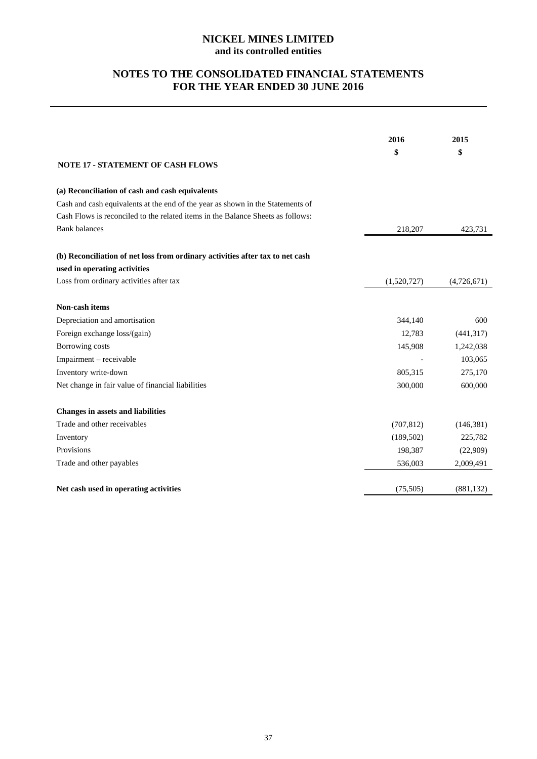# **NOTES TO THE CONSOLIDATED FINANCIAL STATEMENTS FOR THE YEAR ENDED 30 JUNE 2016**

|                                                                                                               | 2016        | 2015        |
|---------------------------------------------------------------------------------------------------------------|-------------|-------------|
| <b>NOTE 17 - STATEMENT OF CASH FLOWS</b>                                                                      | \$          | \$          |
| (a) Reconciliation of cash and cash equivalents                                                               |             |             |
| Cash and cash equivalents at the end of the year as shown in the Statements of                                |             |             |
| Cash Flows is reconciled to the related items in the Balance Sheets as follows:                               |             |             |
| <b>Bank</b> balances                                                                                          | 218,207     | 423,731     |
| (b) Reconciliation of net loss from ordinary activities after tax to net cash<br>used in operating activities |             |             |
| Loss from ordinary activities after tax                                                                       | (1,520,727) | (4,726,671) |
| Non-cash items                                                                                                |             |             |
| Depreciation and amortisation                                                                                 | 344,140     | 600         |
| Foreign exchange loss/(gain)                                                                                  | 12,783      | (441, 317)  |
| Borrowing costs                                                                                               | 145,908     | 1,242,038   |
| Impairment - receivable                                                                                       |             | 103,065     |
| Inventory write-down                                                                                          | 805,315     | 275,170     |
| Net change in fair value of financial liabilities                                                             | 300,000     | 600,000     |
| <b>Changes in assets and liabilities</b>                                                                      |             |             |
| Trade and other receivables                                                                                   | (707, 812)  | (146,381)   |
| Inventory                                                                                                     | (189, 502)  | 225,782     |
| Provisions                                                                                                    | 198,387     | (22,909)    |
| Trade and other payables                                                                                      | 536,003     | 2,009,491   |
| Net cash used in operating activities                                                                         | (75,505)    | (881, 132)  |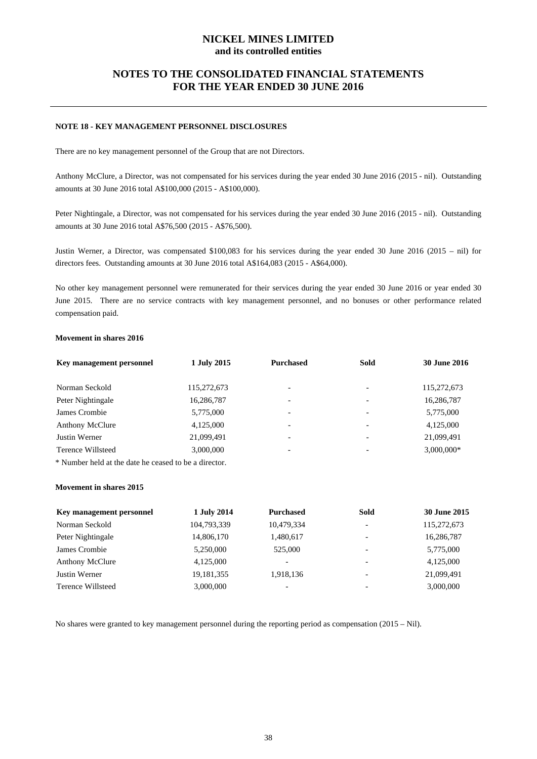# **NOTES TO THE CONSOLIDATED FINANCIAL STATEMENTS FOR THE YEAR ENDED 30 JUNE 2016**

#### **NOTE 18 - KEY MANAGEMENT PERSONNEL DISCLOSURES**

There are no key management personnel of the Group that are not Directors.

Anthony McClure, a Director, was not compensated for his services during the year ended 30 June 2016 (2015 - nil). Outstanding amounts at 30 June 2016 total A\$100,000 (2015 - A\$100,000).

Peter Nightingale, a Director, was not compensated for his services during the year ended 30 June 2016 (2015 - nil). Outstanding amounts at 30 June 2016 total A\$76,500 (2015 - A\$76,500).

Justin Werner, a Director, was compensated \$100,083 for his services during the year ended 30 June 2016 (2015 – nil) for directors fees. Outstanding amounts at 30 June 2016 total A\$164,083 (2015 - A\$64,000).

No other key management personnel were remunerated for their services during the year ended 30 June 2016 or year ended 30 June 2015. There are no service contracts with key management personnel, and no bonuses or other performance related compensation paid.

#### **Movement in shares 2016**

| Key management personnel | 1 July 2015 | <b>Purchased</b>         | Sold                     | <b>30 June 2016</b> |
|--------------------------|-------------|--------------------------|--------------------------|---------------------|
| Norman Seckold           | 115,272,673 | $\overline{\phantom{a}}$ | $\overline{\phantom{a}}$ | 115,272,673         |
| Peter Nightingale        | 16,286,787  | $\overline{\phantom{0}}$ | $\overline{\phantom{a}}$ | 16,286,787          |
| James Crombie            | 5,775,000   |                          | $\overline{\phantom{0}}$ | 5,775,000           |
| <b>Anthony McClure</b>   | 4,125,000   | $\overline{\phantom{a}}$ | -                        | 4,125,000           |
| Justin Werner            | 21,099,491  | $\overline{\phantom{0}}$ | -                        | 21,099,491          |
| Terence Willsteed        | 3,000,000   | $\overline{\phantom{0}}$ | $\overline{\phantom{0}}$ | 3,000,000*          |
|                          |             |                          |                          |                     |

\* Number held at the date he ceased to be a director.

#### **Movement in shares 2015**

| Key management personnel | 1 July 2014  | <b>Purchased</b>         | Sold                     | 30 June 2015 |
|--------------------------|--------------|--------------------------|--------------------------|--------------|
| Norman Seckold           | 104,793,339  | 10,479,334               |                          | 115,272,673  |
| Peter Nightingale        | 14,806,170   | 1,480,617                | $\overline{\phantom{0}}$ | 16,286,787   |
| James Crombie            | 5.250,000    | 525,000                  |                          | 5,775,000    |
| <b>Anthony McClure</b>   | 4,125,000    |                          | $\overline{\phantom{0}}$ | 4,125,000    |
| Justin Werner            | 19, 181, 355 | 1,918,136                | $\overline{\phantom{0}}$ | 21,099,491   |
| Terence Willsteed        | 3,000,000    | $\overline{\phantom{0}}$ | $\overline{\phantom{0}}$ | 3,000,000    |

No shares were granted to key management personnel during the reporting period as compensation (2015 – Nil).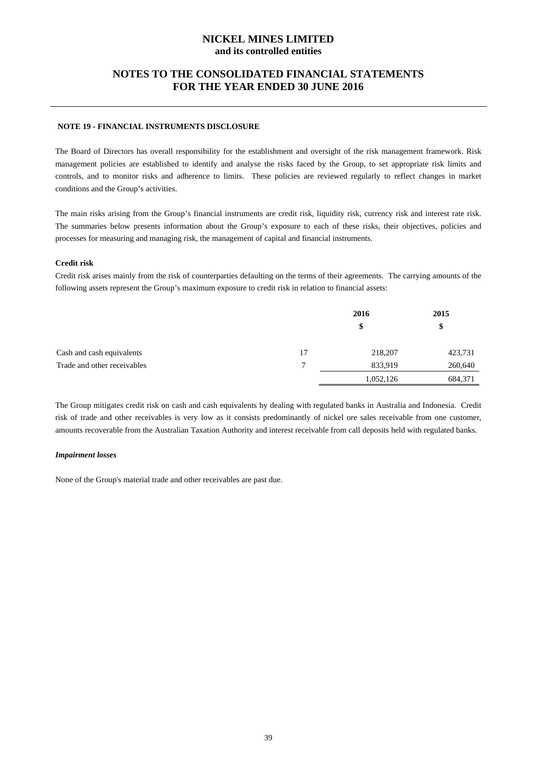# **NOTES TO THE CONSOLIDATED FINANCIAL STATEMENTS FOR THE YEAR ENDED 30 JUNE 2016**

#### **NOTE 19 - FINANCIAL INSTRUMENTS DISCLOSURE**

The Board of Directors has overall responsibility for the establishment and oversight of the risk management framework. Risk management policies are established to identify and analyse the risks faced by the Group, to set appropriate risk limits and controls, and to monitor risks and adherence to limits. These policies are reviewed regularly to reflect changes in market conditions and the Group's activities.

The main risks arising from the Group's financial instruments are credit risk, liquidity risk, currency risk and interest rate risk. The summaries below presents information about the Group's exposure to each of these risks, their objectives, policies and processes for measuring and managing risk, the management of capital and financial instruments.

#### **Credit risk**

Credit risk arises mainly from the risk of counterparties defaulting on the terms of their agreements. The carrying amounts of the following assets represent the Group's maximum exposure to credit risk in relation to financial assets:

|                             |              | 2016      | 2015    |  |
|-----------------------------|--------------|-----------|---------|--|
|                             |              | \$        | \$      |  |
| Cash and cash equivalents   | 17           | 218,207   | 423,731 |  |
| Trade and other receivables | $\mathbf{r}$ | 833,919   | 260,640 |  |
|                             |              | 1,052,126 | 684,371 |  |

The Group mitigates credit risk on cash and cash equivalents by dealing with regulated banks in Australia and Indonesia. Credit risk of trade and other receivables is very low as it consists predominantly of nickel ore sales receivable from one customer, amounts recoverable from the Australian Taxation Authority and interest receivable from call deposits held with regulated banks.

#### *Impairment losses*

None of the Group's material trade and other receivables are past due.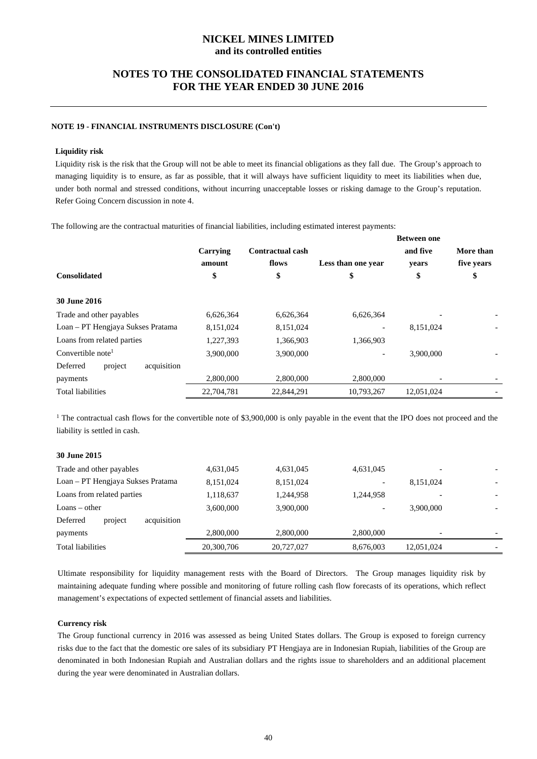# **NOTES TO THE CONSOLIDATED FINANCIAL STATEMENTS FOR THE YEAR ENDED 30 JUNE 2016**

#### **NOTE 19 - FINANCIAL INSTRUMENTS DISCLOSURE (Con't)**

#### **Liquidity risk**

Liquidity risk is the risk that the Group will not be able to meet its financial obligations as they fall due. The Group's approach to managing liquidity is to ensure, as far as possible, that it will always have sufficient liquidity to meet its liabilities when due, under both normal and stressed conditions, without incurring unacceptable losses or risking damage to the Group's reputation. Refer Going Concern discussion in note 4.

The following are the contractual maturities of financial liabilities, including estimated interest payments:

|                                    |            |                         |                          | <b>Between</b> one |            |
|------------------------------------|------------|-------------------------|--------------------------|--------------------|------------|
|                                    | Carrying   | <b>Contractual cash</b> |                          | and five           | More than  |
|                                    | amount     | flows                   | Less than one year       | vears              | five years |
| <b>Consolidated</b>                | \$         | \$                      | \$                       | \$                 | \$         |
|                                    |            |                         |                          |                    |            |
| 30 June 2016                       |            |                         |                          |                    |            |
| Trade and other payables           | 6,626,364  | 6,626,364               | 6,626,364                |                    |            |
| Loan – PT Hengjaya Sukses Pratama  | 8,151,024  | 8,151,024               |                          | 8,151,024          |            |
| Loans from related parties         | 1,227,393  | 1,366,903               | 1.366.903                |                    |            |
| Convertible note <sup>1</sup>      | 3,900,000  | 3,900,000               | $\overline{\phantom{a}}$ | 3,900,000          |            |
| acquisition<br>Deferred<br>project |            |                         |                          |                    |            |
| payments                           | 2,800,000  | 2,800,000               | 2,800,000                |                    |            |
| <b>Total liabilities</b>           | 22,704,781 | 22,844,291              | 10,793,267               | 12.051.024         |            |

<sup>1</sup> The contractual cash flows for the convertible note of \$3,900,000 is only payable in the event that the IPO does not proceed and the liability is settled in cash.

#### **30 June 2015**

| Trade and other payables           | 4,631,045  | 4,631,045  | 4,631,045 |            |  |
|------------------------------------|------------|------------|-----------|------------|--|
| Loan – PT Hengjaya Sukses Pratama  | 8,151,024  | 8,151,024  |           | 8,151,024  |  |
| Loans from related parties         | 1,118,637  | 1,244,958  | 1,244,958 |            |  |
| $Loans - other$                    | 3.600,000  | 3,900,000  |           | 3.900,000  |  |
| acquisition<br>Deferred<br>project |            |            |           |            |  |
| payments                           | 2,800,000  | 2,800,000  | 2,800,000 |            |  |
| Total liabilities                  | 20,300,706 | 20,727,027 | 8,676,003 | 12,051,024 |  |
|                                    |            |            |           |            |  |

Ultimate responsibility for liquidity management rests with the Board of Directors. The Group manages liquidity risk by maintaining adequate funding where possible and monitoring of future rolling cash flow forecasts of its operations, which reflect management's expectations of expected settlement of financial assets and liabilities.

#### **Currency risk**

The Group functional currency in 2016 was assessed as being United States dollars. The Group is exposed to foreign currency risks due to the fact that the domestic ore sales of its subsidiary PT Hengjaya are in Indonesian Rupiah, liabilities of the Group are denominated in both Indonesian Rupiah and Australian dollars and the rights issue to shareholders and an additional placement during the year were denominated in Australian dollars.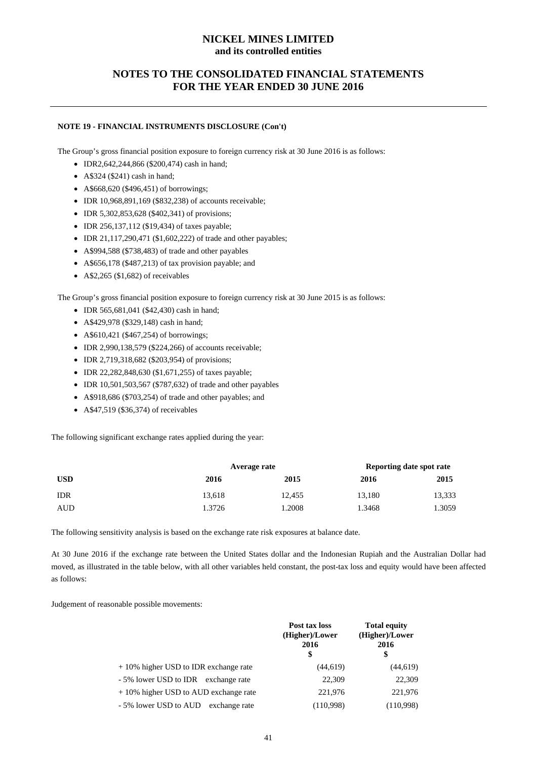# **NOTES TO THE CONSOLIDATED FINANCIAL STATEMENTS FOR THE YEAR ENDED 30 JUNE 2016**

#### **NOTE 19 - FINANCIAL INSTRUMENTS DISCLOSURE (Con't)**

The Group's gross financial position exposure to foreign currency risk at 30 June 2016 is as follows:

- IDR2,642,244,866 (\$200,474) cash in hand:
- A $$324$  ( $$241$ ) cash in hand;
- A\$668,620 (\$496,451) of borrowings;
- IDR 10,968,891,169 (\$832,238) of accounts receivable;
- IDR 5,302,853,628 (\$402,341) of provisions;
- IDR 256,137,112 (\$19,434) of taxes payable;
- IDR 21,117,290,471 (\$1,602,222) of trade and other payables;
- A\$994,588 (\$738,483) of trade and other payables
- A\$656,178 (\$487,213) of tax provision payable; and
- A $$2,265$  ( $$1,682$ ) of receivables

The Group's gross financial position exposure to foreign currency risk at 30 June 2015 is as follows:

- IDR 565,681,041 (\$42,430) cash in hand;
- A\$429,978 (\$329,148) cash in hand;
- A\$610,421 (\$467,254) of borrowings;
- IDR 2,990,138,579 (\$224,266) of accounts receivable;
- IDR 2,719,318,682 (\$203,954) of provisions;
- IDR 22,282,848,630 (\$1,671,255) of taxes payable;
- IDR 10,501,503,567 (\$787,632) of trade and other payables
- A\$918,686 (\$703,254) of trade and other payables; and
- A\$47,519 (\$36,374) of receivables

The following significant exchange rates applied during the year:

|            | Average rate |        |        | Reporting date spot rate |
|------------|--------------|--------|--------|--------------------------|
| <b>USD</b> | 2016         | 2015   | 2016   | 2015                     |
| IDR        | 13.618       | 12.455 | 13.180 | 13,333                   |
| <b>AUD</b> | 1.3726       | .2008  | 1.3468 | 3059،،                   |

The following sensitivity analysis is based on the exchange rate risk exposures at balance date.

At 30 June 2016 if the exchange rate between the United States dollar and the Indonesian Rupiah and the Australian Dollar had moved, as illustrated in the table below, with all other variables held constant, the post-tax loss and equity would have been affected as follows:

Judgement of reasonable possible movements:

|                                       | Post tax loss<br>(Higher)/Lower<br>2016<br>\$ | <b>Total equity</b><br>(Higher)/Lower<br>2016<br>\$ |
|---------------------------------------|-----------------------------------------------|-----------------------------------------------------|
| + 10% higher USD to IDR exchange rate | (44, 619)                                     | (44, 619)                                           |
| - 5% lower USD to IDR exchange rate   | 22,309                                        | 22,309                                              |
| + 10% higher USD to AUD exchange rate | 221,976                                       | 221,976                                             |
| - 5% lower USD to AUD exchange rate   | (110,998)                                     | (110,998)                                           |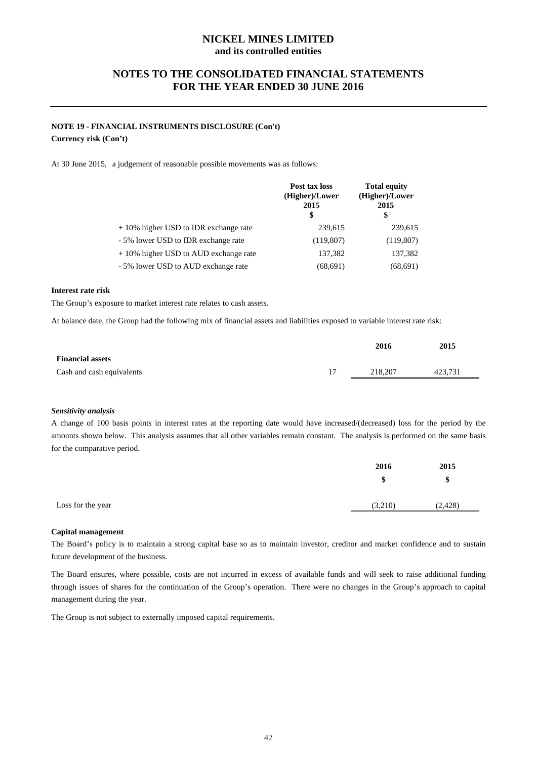# **NOTES TO THE CONSOLIDATED FINANCIAL STATEMENTS FOR THE YEAR ENDED 30 JUNE 2016**

### **NOTE 19 - FINANCIAL INSTRUMENTS DISCLOSURE (Con't) Currency risk (Con't)**

At 30 June 2015, a judgement of reasonable possible movements was as follows:

|                                         | Post tax loss<br>(Higher)/Lower<br>2015<br>\$ | <b>Total equity</b><br>(Higher)/Lower<br>2015<br>\$ |
|-----------------------------------------|-----------------------------------------------|-----------------------------------------------------|
| $+10\%$ higher USD to IDR exchange rate | 239,615                                       | 239,615                                             |
| - 5% lower USD to IDR exchange rate     | (119,807)                                     | (119,807)                                           |
| $+10\%$ higher USD to AUD exchange rate | 137.382                                       | 137,382                                             |
| - 5% lower USD to AUD exchange rate     | (68, 691)                                     | (68, 691)                                           |

#### **Interest rate risk**

The Group's exposure to market interest rate relates to cash assets.

At balance date, the Group had the following mix of financial assets and liabilities exposed to variable interest rate risk:

|                           | 2016    | 2015    |
|---------------------------|---------|---------|
| <b>Financial assets</b>   |         |         |
| Cash and cash equivalents | 218,207 | 423.731 |

#### *Sensitivity analysis*

A change of 100 basis points in interest rates at the reporting date would have increased/(decreased) loss for the period by the amounts shown below. This analysis assumes that all other variables remain constant. The analysis is performed on the same basis for the comparative period.

|                   | 2016<br>\$ | 2015<br>\$ |
|-------------------|------------|------------|
| Loss for the year | (3,210)    | (2, 428)   |

#### **Capital management**

The Board's policy is to maintain a strong capital base so as to maintain investor, creditor and market confidence and to sustain future development of the business.

The Board ensures, where possible, costs are not incurred in excess of available funds and will seek to raise additional funding through issues of shares for the continuation of the Group's operation. There were no changes in the Group's approach to capital management during the year.

The Group is not subject to externally imposed capital requirements.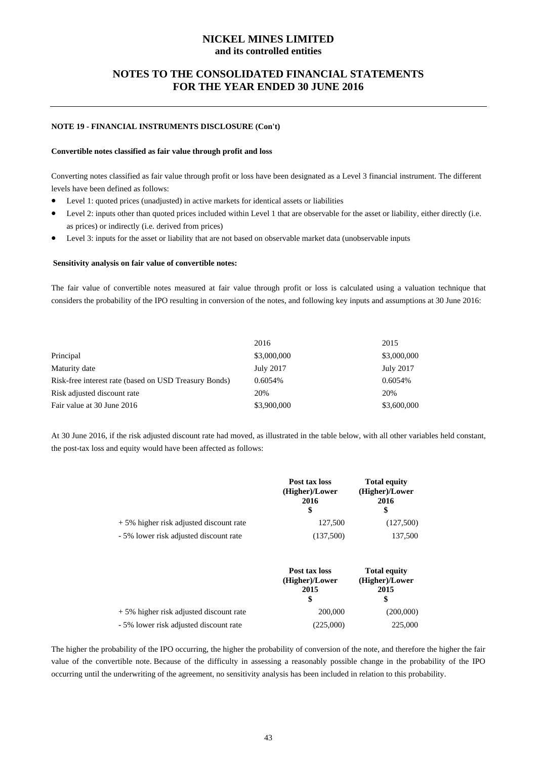# **NOTES TO THE CONSOLIDATED FINANCIAL STATEMENTS FOR THE YEAR ENDED 30 JUNE 2016**

#### **NOTE 19 - FINANCIAL INSTRUMENTS DISCLOSURE (Con't)**

#### **Convertible notes classified as fair value through profit and loss**

Converting notes classified as fair value through profit or loss have been designated as a Level 3 financial instrument. The different levels have been defined as follows:

- Level 1: quoted prices (unadjusted) in active markets for identical assets or liabilities
- Level 2: inputs other than quoted prices included within Level 1 that are observable for the asset or liability, either directly (i.e. as prices) or indirectly (i.e. derived from prices)
- Level 3: inputs for the asset or liability that are not based on observable market data (unobservable inputs

#### **Sensitivity analysis on fair value of convertible notes:**

The fair value of convertible notes measured at fair value through profit or loss is calculated using a valuation technique that considers the probability of the IPO resulting in conversion of the notes, and following key inputs and assumptions at 30 June 2016:

|                                                       | 2016        | 2015        |
|-------------------------------------------------------|-------------|-------------|
| Principal                                             | \$3,000,000 | \$3,000,000 |
| Maturity date                                         | July 2017   | July 2017   |
| Risk-free interest rate (based on USD Treasury Bonds) | $0.6054\%$  | 0.6054%     |
| Risk adjusted discount rate                           | 20%         | 20%         |
| Fair value at 30 June 2016                            | \$3,900,000 | \$3,600,000 |

At 30 June 2016, if the risk adjusted discount rate had moved, as illustrated in the table below, with all other variables held constant, the post-tax loss and equity would have been affected as follows:

|                                           | Post tax loss<br>(Higher)/Lower<br>2016<br>\$ | <b>Total equity</b><br>(Higher)/Lower<br>2016<br>\$ |
|-------------------------------------------|-----------------------------------------------|-----------------------------------------------------|
| $+5\%$ higher risk adjusted discount rate | 127,500                                       | (127,500)                                           |
| - 5% lower risk adjusted discount rate    | (137,500)                                     | 137,500                                             |

|                                         | Post tax loss<br>(Higher)/Lower<br>2015 | <b>Total equity</b><br>(Higher)/Lower<br>2015<br>\$. |
|-----------------------------------------|-----------------------------------------|------------------------------------------------------|
| + 5% higher risk adjusted discount rate | 200,000                                 | (200,000)                                            |
| - 5% lower risk adjusted discount rate  | (225,000)                               | 225,000                                              |

The higher the probability of the IPO occurring, the higher the probability of conversion of the note, and therefore the higher the fair value of the convertible note. Because of the difficulty in assessing a reasonably possible change in the probability of the IPO occurring until the underwriting of the agreement, no sensitivity analysis has been included in relation to this probability.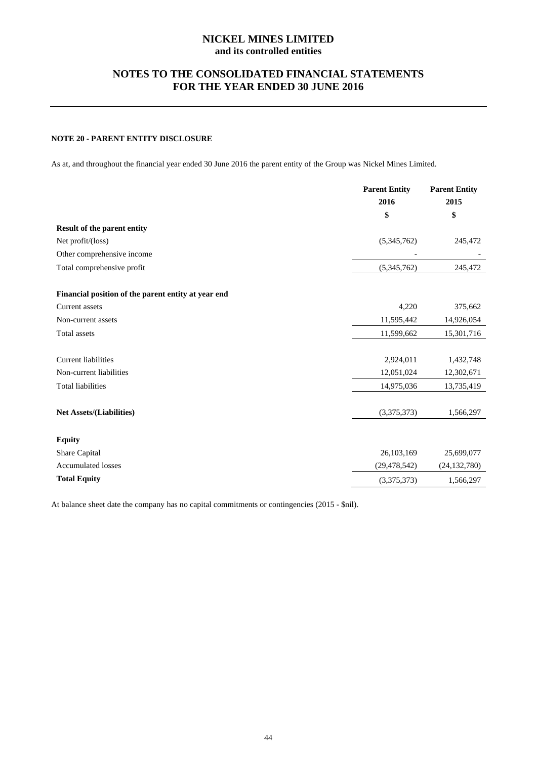# **NOTES TO THE CONSOLIDATED FINANCIAL STATEMENTS FOR THE YEAR ENDED 30 JUNE 2016**

### **NOTE 20 - PARENT ENTITY DISCLOSURE**

As at, and throughout the financial year ended 30 June 2016 the parent entity of the Group was Nickel Mines Limited.

|                                                     | <b>Parent Entity</b> | <b>Parent Entity</b> |
|-----------------------------------------------------|----------------------|----------------------|
|                                                     | 2016                 | 2015                 |
|                                                     | \$                   | \$                   |
| Result of the parent entity                         |                      |                      |
| Net profit/(loss)                                   | (5,345,762)          | 245,472              |
| Other comprehensive income                          |                      |                      |
| Total comprehensive profit                          | (5,345,762)          | 245,472              |
|                                                     |                      |                      |
| Financial position of the parent entity at year end |                      |                      |
| Current assets                                      | 4,220                | 375,662              |
| Non-current assets                                  | 11,595,442           | 14,926,054           |
| Total assets                                        | 11,599,662           | 15,301,716           |
|                                                     |                      |                      |
| <b>Current liabilities</b>                          | 2,924,011            | 1,432,748            |
| Non-current liabilities                             | 12,051,024           | 12,302,671           |
| <b>Total liabilities</b>                            | 14,975,036           | 13,735,419           |
|                                                     |                      |                      |
| Net Assets/(Liabilities)                            | (3,375,373)          | 1,566,297            |
|                                                     |                      |                      |
| <b>Equity</b>                                       |                      |                      |
| Share Capital                                       | 26,103,169           | 25,699,077           |
| <b>Accumulated losses</b>                           | (29, 478, 542)       | (24, 132, 780)       |
| <b>Total Equity</b>                                 | (3,375,373)          | 1,566,297            |

At balance sheet date the company has no capital commitments or contingencies (2015 - \$nil).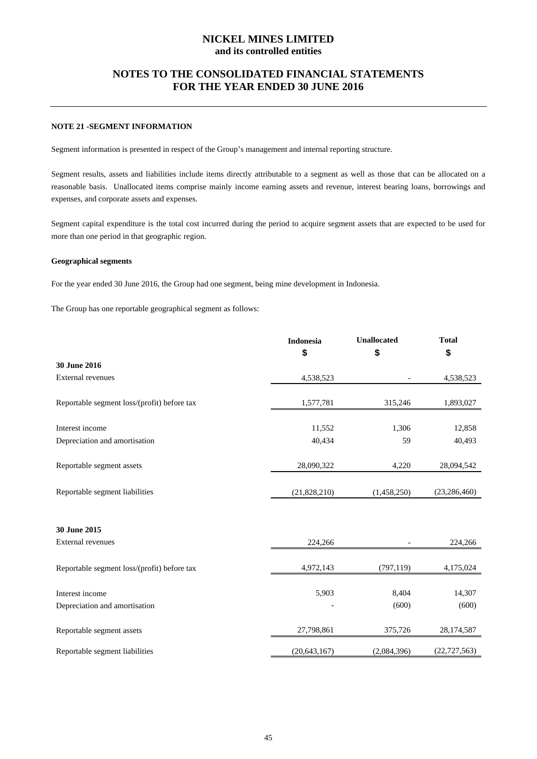# **NOTES TO THE CONSOLIDATED FINANCIAL STATEMENTS FOR THE YEAR ENDED 30 JUNE 2016**

#### **NOTE 21 -SEGMENT INFORMATION**

Segment information is presented in respect of the Group's management and internal reporting structure.

Segment results, assets and liabilities include items directly attributable to a segment as well as those that can be allocated on a reasonable basis. Unallocated items comprise mainly income earning assets and revenue, interest bearing loans, borrowings and expenses, and corporate assets and expenses.

Segment capital expenditure is the total cost incurred during the period to acquire segment assets that are expected to be used for more than one period in that geographic region.

#### **Geographical segments**

For the year ended 30 June 2016, the Group had one segment, being mine development in Indonesia.

The Group has one reportable geographical segment as follows:

|                                             | <b>Indonesia</b> | <b>Unallocated</b> | <b>Total</b>   |
|---------------------------------------------|------------------|--------------------|----------------|
|                                             | \$               | \$                 | \$             |
| 30 June 2016                                |                  |                    |                |
| <b>External revenues</b>                    | 4,538,523        |                    | 4,538,523      |
| Reportable segment loss/(profit) before tax | 1,577,781        | 315,246            | 1,893,027      |
| Interest income                             | 11,552           | 1,306              | 12,858         |
| Depreciation and amortisation               | 40,434           | 59                 | 40,493         |
| Reportable segment assets                   | 28,090,322       | 4,220              | 28,094,542     |
| Reportable segment liabilities              | (21, 828, 210)   | (1,458,250)        | (23, 286, 460) |
| 30 June 2015                                |                  |                    |                |
| <b>External revenues</b>                    | 224,266          |                    | 224,266        |
| Reportable segment loss/(profit) before tax | 4,972,143        | (797, 119)         | 4,175,024      |
| Interest income                             | 5,903            | 8,404              | 14,307         |
| Depreciation and amortisation               |                  | (600)              | (600)          |
| Reportable segment assets                   | 27,798,861       | 375,726            | 28,174,587     |
| Reportable segment liabilities              | (20, 643, 167)   | (2,084,396)        | (22, 727, 563) |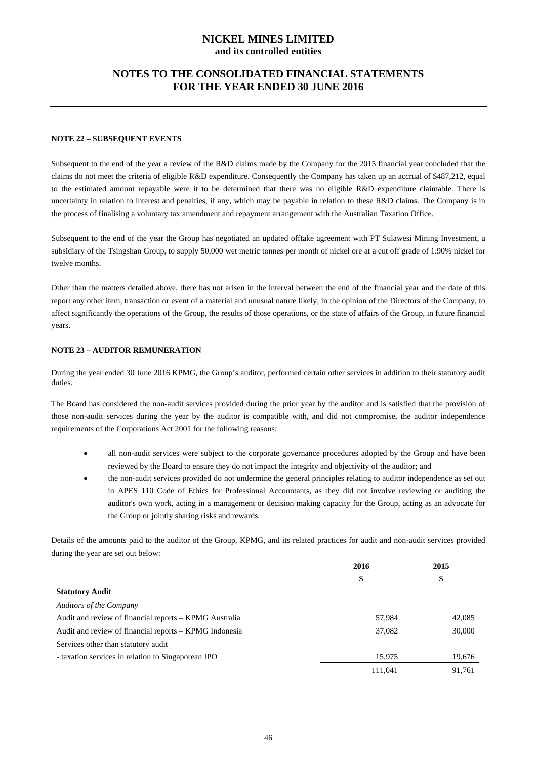# **NOTES TO THE CONSOLIDATED FINANCIAL STATEMENTS FOR THE YEAR ENDED 30 JUNE 2016**

#### **NOTE 22 – SUBSEQUENT EVENTS**

Subsequent to the end of the year a review of the R&D claims made by the Company for the 2015 financial year concluded that the claims do not meet the criteria of eligible R&D expenditure. Consequently the Company has taken up an accrual of \$487,212, equal to the estimated amount repayable were it to be determined that there was no eligible R&D expenditure claimable. There is uncertainty in relation to interest and penalties, if any, which may be payable in relation to these R&D claims. The Company is in the process of finalising a voluntary tax amendment and repayment arrangement with the Australian Taxation Office.

Subsequent to the end of the year the Group has negotiated an updated offtake agreement with PT Sulawesi Mining Investment, a subsidiary of the Tsingshan Group, to supply 50,000 wet metric tonnes per month of nickel ore at a cut off grade of 1.90% nickel for twelve months.

Other than the matters detailed above, there has not arisen in the interval between the end of the financial year and the date of this report any other item, transaction or event of a material and unusual nature likely, in the opinion of the Directors of the Company, to affect significantly the operations of the Group, the results of those operations, or the state of affairs of the Group, in future financial years.

### **NOTE 23 – AUDITOR REMUNERATION**

During the year ended 30 June 2016 KPMG, the Group's auditor, performed certain other services in addition to their statutory audit duties.

The Board has considered the non-audit services provided during the prior year by the auditor and is satisfied that the provision of those non-audit services during the year by the auditor is compatible with, and did not compromise, the auditor independence requirements of the Corporations Act 2001 for the following reasons:

- all non-audit services were subject to the corporate governance procedures adopted by the Group and have been reviewed by the Board to ensure they do not impact the integrity and objectivity of the auditor; and
- the non-audit services provided do not undermine the general principles relating to auditor independence as set out in APES 110 Code of Ethics for Professional Accountants, as they did not involve reviewing or auditing the auditor's own work, acting in a management or decision making capacity for the Group, acting as an advocate for the Group or jointly sharing risks and rewards.

Details of the amounts paid to the auditor of the Group, KPMG, and its related practices for audit and non-audit services provided during the year are set out below:

|                                                        | 2016    | 2015   |
|--------------------------------------------------------|---------|--------|
|                                                        | \$      | \$     |
| <b>Statutory Audit</b>                                 |         |        |
| Auditors of the Company                                |         |        |
| Audit and review of financial reports – KPMG Australia | 57,984  | 42,085 |
| Audit and review of financial reports – KPMG Indonesia | 37,082  | 30,000 |
| Services other than statutory audit                    |         |        |
| - taxation services in relation to Singaporean IPO     | 15,975  | 19,676 |
|                                                        | 111,041 | 91,761 |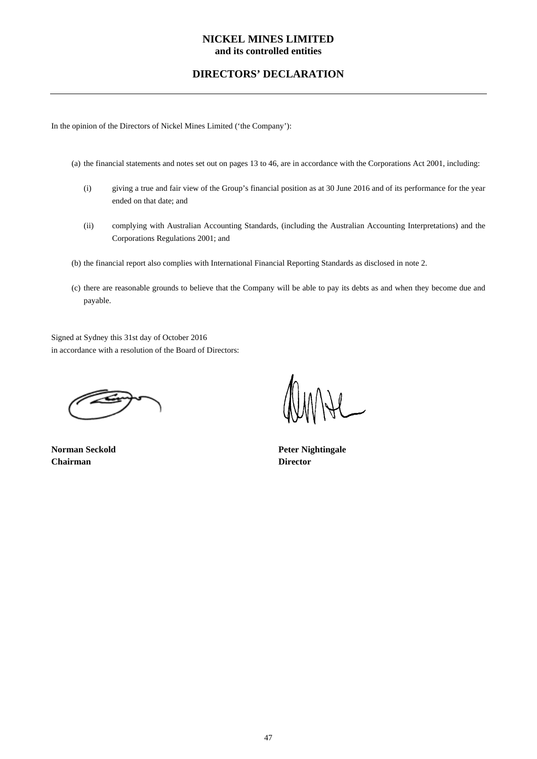# **DIRECTORS' DECLARATION**

In the opinion of the Directors of Nickel Mines Limited ('the Company'):

- (a) the financial statements and notes set out on pages 13 to 46, are in accordance with the Corporations Act 2001, including:
	- (i) giving a true and fair view of the Group's financial position as at 30 June 2016 and of its performance for the year ended on that date; and
	- (ii) complying with Australian Accounting Standards, (including the Australian Accounting Interpretations) and the Corporations Regulations 2001; and
- (b) the financial report also complies with International Financial Reporting Standards as disclosed in note 2.
- (c) there are reasonable grounds to believe that the Company will be able to pay its debts as and when they become due and payable.

Signed at Sydney this 31st day of October 2016 in accordance with a resolution of the Board of Directors:

**Chairman** Director

**Norman Seckold** Peter Nightingale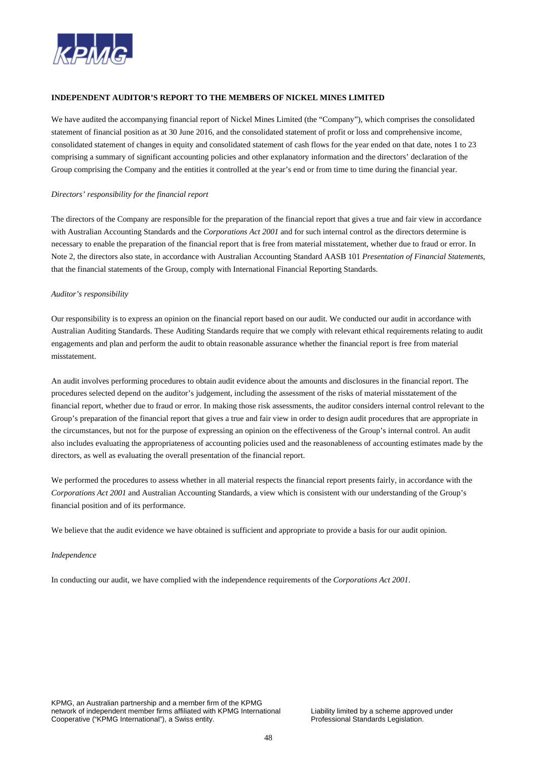

#### **INDEPENDENT AUDITOR'S REPORT TO THE MEMBERS OF NICKEL MINES LIMITED**

We have audited the accompanying financial report of Nickel Mines Limited (the "Company"), which comprises the consolidated statement of financial position as at 30 June 2016, and the consolidated statement of profit or loss and comprehensive income, consolidated statement of changes in equity and consolidated statement of cash flows for the year ended on that date, notes 1 to 23 comprising a summary of significant accounting policies and other explanatory information and the directors' declaration of the Group comprising the Company and the entities it controlled at the year's end or from time to time during the financial year.

#### *Directors' responsibility for the financial report*

The directors of the Company are responsible for the preparation of the financial report that gives a true and fair view in accordance with Australian Accounting Standards and the *Corporations Act 2001* and for such internal control as the directors determine is necessary to enable the preparation of the financial report that is free from material misstatement, whether due to fraud or error. In Note 2, the directors also state, in accordance with Australian Accounting Standard AASB 101 *Presentation of Financial Statements*, that the financial statements of the Group, comply with International Financial Reporting Standards.

#### *Auditor's responsibility*

Our responsibility is to express an opinion on the financial report based on our audit. We conducted our audit in accordance with Australian Auditing Standards. These Auditing Standards require that we comply with relevant ethical requirements relating to audit engagements and plan and perform the audit to obtain reasonable assurance whether the financial report is free from material misstatement.

An audit involves performing procedures to obtain audit evidence about the amounts and disclosures in the financial report. The procedures selected depend on the auditor's judgement, including the assessment of the risks of material misstatement of the financial report, whether due to fraud or error. In making those risk assessments, the auditor considers internal control relevant to the Group's preparation of the financial report that gives a true and fair view in order to design audit procedures that are appropriate in the circumstances, but not for the purpose of expressing an opinion on the effectiveness of the Group's internal control. An audit also includes evaluating the appropriateness of accounting policies used and the reasonableness of accounting estimates made by the directors, as well as evaluating the overall presentation of the financial report.

We performed the procedures to assess whether in all material respects the financial report presents fairly, in accordance with the *Corporations Act 2001* and Australian Accounting Standards, a view which is consistent with our understanding of the Group's financial position and of its performance.

We believe that the audit evidence we have obtained is sufficient and appropriate to provide a basis for our audit opinion.

#### *Independence*

In conducting our audit, we have complied with the independence requirements of the *Corporations Act 2001*.

KPMG, an Australian partnership and a member firm of the KPMG network of independent member firms affiliated with KPMG International Liability limited by a scheme approved under<br>Cooperative ("KPMG International"), a Swiss entity. Professional Standards Legislation. Cooperative ("KPMG International"), a Swiss entity.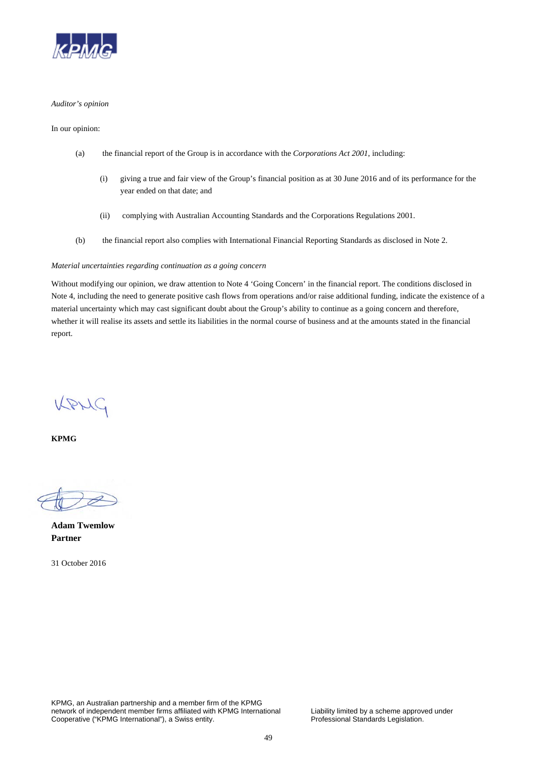

#### *Auditor's opinion*

#### In our opinion:

- (a) the financial report of the Group is in accordance with the *Corporations Act 2001*, including:
	- (i) giving a true and fair view of the Group's financial position as at 30 June 2016 and of its performance for the year ended on that date; and
	- (ii) complying with Australian Accounting Standards and the Corporations Regulations 2001.
- (b) the financial report also complies with International Financial Reporting Standards as disclosed in Note 2.

#### *Material uncertainties regarding continuation as a going concern*

Without modifying our opinion, we draw attention to Note 4 'Going Concern' in the financial report. The conditions disclosed in Note 4, including the need to generate positive cash flows from operations and/or raise additional funding, indicate the existence of a material uncertainty which may cast significant doubt about the Group's ability to continue as a going concern and therefore, whether it will realise its assets and settle its liabilities in the normal course of business and at the amounts stated in the financial report.

KANG

**KPMG** 

**Adam Twemlow Partner** 

31 October 2016